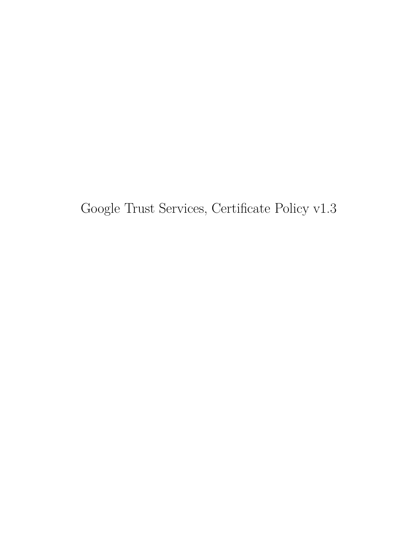Google Trust Services, Certificate Policy v1.3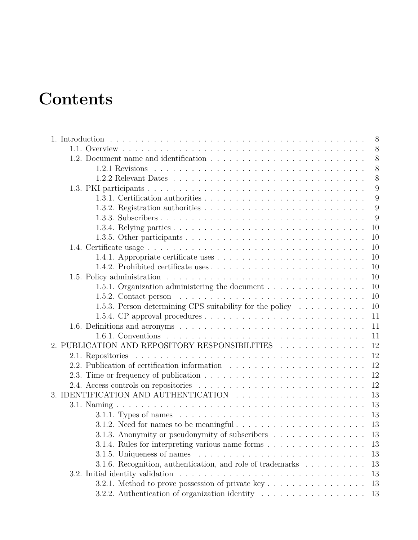# **Contents**

|                                                                                                    | 8  |
|----------------------------------------------------------------------------------------------------|----|
|                                                                                                    | 8  |
|                                                                                                    | 8  |
|                                                                                                    | 8  |
|                                                                                                    | 8  |
|                                                                                                    | 9  |
|                                                                                                    | 9  |
|                                                                                                    | 9  |
|                                                                                                    | 9  |
|                                                                                                    | 10 |
|                                                                                                    | 10 |
|                                                                                                    | 10 |
|                                                                                                    | 10 |
|                                                                                                    | 10 |
|                                                                                                    | 10 |
| 1.5.1. Organization administering the document $\dots \dots \dots \dots \dots \dots$               | 10 |
|                                                                                                    | 10 |
| 1.5.3. Person determining CPS suitability for the policy $\dots \dots \dots$                       | 10 |
|                                                                                                    | 11 |
|                                                                                                    | 11 |
|                                                                                                    | 11 |
| 2. PUBLICATION AND REPOSITORY RESPONSIBILITIES                                                     | 12 |
|                                                                                                    | 12 |
|                                                                                                    | 12 |
|                                                                                                    | 12 |
|                                                                                                    | 12 |
| 3. IDENTIFICATION AND AUTHENTICATION                                                               | 13 |
|                                                                                                    | 13 |
|                                                                                                    | 13 |
|                                                                                                    | 13 |
| 3.1.3. Anonymity or pseudonymity of subscribers 13                                                 |    |
| 3.1.4. Rules for interpreting various name forms                                                   | 13 |
| 3.1.5. Uniqueness of names $\ldots \ldots \ldots \ldots \ldots \ldots \ldots \ldots \ldots \ldots$ | 13 |
| 3.1.6. Recognition, authentication, and role of trademarks                                         | 13 |
|                                                                                                    | 13 |
|                                                                                                    | 13 |
| 3.2.2. Authentication of organization identity $\ldots \ldots \ldots \ldots \ldots \ldots$         | 13 |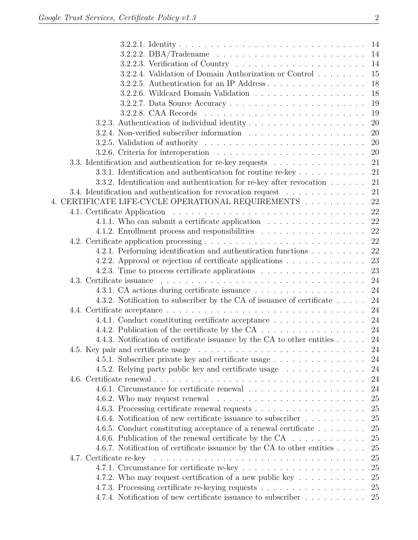| 3.2.2.3. Verification of Country $\ldots \ldots \ldots \ldots \ldots \ldots \ldots 14$         |    |
|------------------------------------------------------------------------------------------------|----|
| 3.2.2.4. Validation of Domain Authorization or Control                                         | 15 |
| 3.2.2.5. Authentication for an IP Address                                                      | 18 |
|                                                                                                | 18 |
|                                                                                                | 19 |
|                                                                                                | 19 |
|                                                                                                | 20 |
|                                                                                                | 20 |
| 3.2.5. Validation of authority $\dots \dots \dots \dots \dots \dots \dots \dots \dots \dots$   | 20 |
|                                                                                                |    |
| 3.3. Identification and authentication for re-key requests 21                                  |    |
| 3.3.1. Identification and authentication for routine re-key $\dots \dots \dots$                | 21 |
| 3.3.2. Identification and authentication for re-key after revocation $\ldots \ldots$ 21        |    |
| 3.4. Identification and authentication for revocation request $\ldots \ldots \ldots \ldots$ 21 |    |
| 4. CERTIFICATE LIFE-CYCLE OPERATIONAL REQUIREMENTS $\ldots \ldots \ldots$ 22                   |    |
|                                                                                                |    |
| 4.1.1. Who can submit a certificate application 22                                             |    |
| 4.1.2. Enrollment process and responsibilities $\ldots \ldots \ldots \ldots \ldots \ldots$ 22  |    |
|                                                                                                |    |
| 4.2.1. Performing identification and authentication functions 22                               |    |
| 4.2.2. Approval or rejection of certificate applications 23                                    |    |
| 4.2.3. Time to process certificate applications $\dots \dots \dots \dots \dots \dots$          | 23 |
|                                                                                                |    |
|                                                                                                |    |
| 4.3.2. Notification to subscriber by the CA of issuance of certificate 24                      |    |
|                                                                                                |    |
| 4.4.1. Conduct constituting certificate acceptance 24                                          |    |
|                                                                                                |    |
| 4.4.3. Notification of certificate issuance by the CA to other entities 24                     |    |
|                                                                                                |    |
| 4.5.1. Subscriber private key and certificate usage 24                                         |    |
| 4.5.2. Relying party public key and certificate usage                                          | 24 |
|                                                                                                | 24 |
|                                                                                                | 24 |
|                                                                                                | 25 |
|                                                                                                | 25 |
| 4.6.4. Notification of new certificate issuance to subscriber                                  | 25 |
| 4.6.5. Conduct constituting acceptance of a renewal certificate                                | 25 |
| 4.6.6. Publication of the renewal certificate by the CA $\dots \dots \dots \dots$              | 25 |
| 4.6.7. Notification of certificate issuance by the CA to other entities $\dots$ .              | 25 |
|                                                                                                | 25 |
|                                                                                                | 25 |
| 4.7.2. Who may request certification of a new public key $\dots \dots \dots$                   | 25 |
|                                                                                                | 25 |
| 4.7.4. Notification of new certificate issuance to subscriber 25                               |    |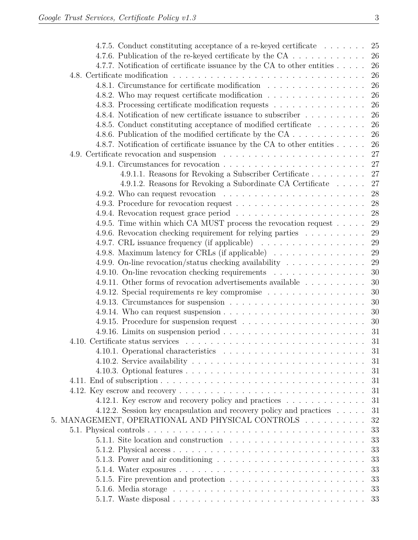| 4.7.5. Conduct constituting acceptance of a re-keyed certificate                                       | 25 |
|--------------------------------------------------------------------------------------------------------|----|
| 4.7.6. Publication of the re-keyed certificate by the CA 26                                            |    |
| 4.7.7. Notification of certificate issuance by the CA to other entities $\dots$ .                      | 26 |
|                                                                                                        | 26 |
| 4.8.1. Circumstance for certificate modification                                                       | 26 |
| 4.8.2. Who may request certificate modification                                                        | 26 |
| 4.8.3. Processing certificate modification requests                                                    | 26 |
| 4.8.4. Notification of new certificate issuance to subscriber                                          | 26 |
| 4.8.5. Conduct constituting acceptance of modified certificate                                         | 26 |
| 4.8.6. Publication of the modified certificate by the CA                                               | 26 |
| 4.8.7. Notification of certificate issuance by the CA to other entities                                | 26 |
|                                                                                                        | 27 |
|                                                                                                        |    |
| 4.9.1.1. Reasons for Revoking a Subscriber Certificate 27                                              |    |
| 4.9.1.2. Reasons for Revoking a Subordinate CA Certificate $\ldots$ 27                                 |    |
| 4.9.2. Who can request revocation $\ldots \ldots \ldots \ldots \ldots \ldots \ldots$                   | 28 |
|                                                                                                        |    |
|                                                                                                        |    |
| 4.9.5. Time within which CA MUST process the revocation request $\dots$ .                              | 29 |
| 4.9.6. Revocation checking requirement for relying parties                                             | 29 |
| 4.9.7. CRL issuance frequency (if applicable)                                                          | 29 |
| 4.9.8. Maximum latency for CRLs (if applicable)                                                        | 29 |
| 4.9.9. On-line revocation/status checking availability $\dots \dots \dots \dots$                       | 29 |
| 4.9.10. On-line revocation checking requirements                                                       | 30 |
| 4.9.11. Other forms of revocation advertisements available                                             | 30 |
| 4.9.12. Special requirements re key compromise                                                         | 30 |
|                                                                                                        | 30 |
| 4.9.14. Who can request suspension $\ldots \ldots \ldots \ldots \ldots \ldots \ldots \ldots \ldots 30$ |    |
|                                                                                                        |    |
|                                                                                                        |    |
|                                                                                                        | 31 |
|                                                                                                        | 31 |
| 4.10.2. Service availability $\dots \dots \dots \dots \dots \dots \dots \dots \dots \dots \dots \dots$ | 31 |
|                                                                                                        | 31 |
|                                                                                                        | 31 |
|                                                                                                        | 31 |
| 4.12.1. Key escrow and recovery policy and practices                                                   | 31 |
| 4.12.2. Session key encapsulation and recovery policy and practices                                    | 31 |
| 5. MANAGEMENT, OPERATIONAL AND PHYSICAL CONTROLS                                                       | 32 |
|                                                                                                        | 33 |
|                                                                                                        | 33 |
|                                                                                                        | 33 |
| 5.1.3. Power and air conditioning $\ldots \ldots \ldots \ldots \ldots \ldots \ldots \ldots$            | 33 |
|                                                                                                        | 33 |
|                                                                                                        | 33 |
|                                                                                                        | 33 |
|                                                                                                        |    |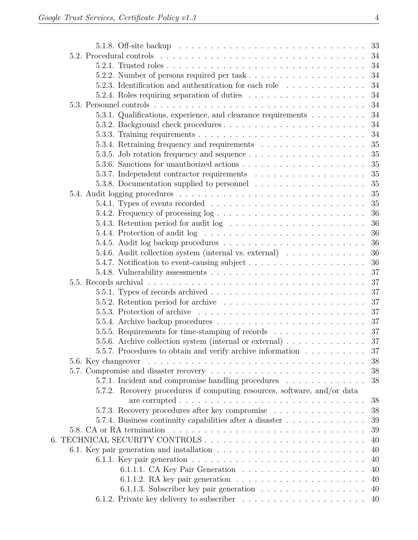|  | 5.2.3. Identification and authentication for each role 34                                                   |          |
|--|-------------------------------------------------------------------------------------------------------------|----------|
|  |                                                                                                             | 34       |
|  |                                                                                                             |          |
|  | 5.3.1. Qualifications, experience, and clearance requirements 34                                            |          |
|  |                                                                                                             |          |
|  |                                                                                                             |          |
|  |                                                                                                             | 35       |
|  |                                                                                                             | 35       |
|  |                                                                                                             | 35       |
|  |                                                                                                             | 35       |
|  |                                                                                                             | 35       |
|  |                                                                                                             | 35       |
|  |                                                                                                             | 35       |
|  | 5.4.2. Frequency of processing $log$                                                                        | 36       |
|  |                                                                                                             | 36       |
|  | 5.4.4. Protection of audit $log \ldots \ldots \ldots \ldots \ldots \ldots \ldots \ldots$                    | 36       |
|  |                                                                                                             | 36       |
|  | 5.4.6. Audit collection system (internal vs. external) $\dots \dots \dots \dots$                            | 36       |
|  |                                                                                                             | 36       |
|  |                                                                                                             | 37       |
|  | 5.5. Records archival $\ldots \ldots \ldots \ldots \ldots \ldots \ldots \ldots \ldots \ldots \ldots \ldots$ | 37       |
|  |                                                                                                             | 37       |
|  |                                                                                                             |          |
|  |                                                                                                             |          |
|  |                                                                                                             |          |
|  | 5.5.5. Requirements for time-stamping of records 37                                                         |          |
|  | 5.5.6. Archive collection system (internal or external) $\ldots \ldots \ldots \ldots$                       | 37       |
|  | 5.5.7. Procedures to obtain and verify archive information $\dots \dots \dots$                              | 37       |
|  |                                                                                                             | 38       |
|  |                                                                                                             | 38       |
|  | 5.7.1. Incident and compromise handling procedures                                                          | 38       |
|  | 5.7.2. Recovery procedures if computing resources, software, and/or data                                    |          |
|  |                                                                                                             | 38       |
|  | 5.7.3. Recovery procedures after key compromise                                                             | 38       |
|  | 5.7.4. Business continuity capabilities after a disaster                                                    | 39       |
|  | 5.8. CA or RA termination                                                                                   | 39       |
|  |                                                                                                             | 40       |
|  |                                                                                                             | 40       |
|  | 6.1.1. Key pair generation $\ldots \ldots \ldots \ldots \ldots \ldots \ldots \ldots \ldots$                 | 40<br>40 |
|  | 6.1.1.2. RA key pair generation $\ldots \ldots \ldots \ldots \ldots \ldots \ldots$                          | 40       |
|  | 6.1.1.3. Subscriber key pair generation                                                                     | 40       |
|  |                                                                                                             |          |
|  |                                                                                                             |          |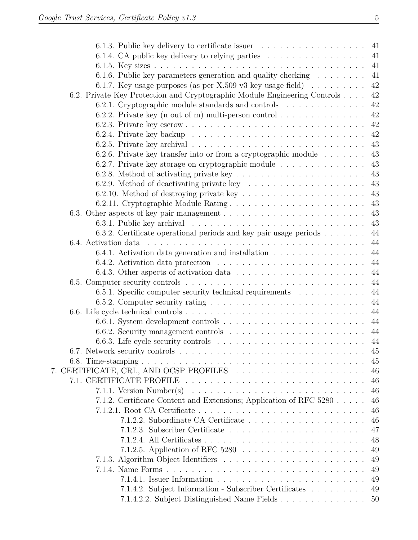| 6.1.3. Public key delivery to certificate issuer $\dots \dots \dots \dots \dots \dots$              |    |
|-----------------------------------------------------------------------------------------------------|----|
| 6.1.4. CA public key delivery to relying parties $\ldots \ldots \ldots \ldots \ldots$               |    |
|                                                                                                     |    |
| 6.1.6. Public key parameters generation and quality checking 41                                     |    |
| 6.1.7. Key usage purposes (as per X.509 v3 key usage field) $\ldots \ldots \ldots$                  | 42 |
| 6.2. Private Key Protection and Cryptographic Module Engineering Controls                           | 42 |
| 6.2.1. Cryptographic module standards and controls                                                  | 42 |
| 6.2.2. Private key (n out of m) multi-person control $\dots \dots \dots \dots$                      | 42 |
|                                                                                                     | 42 |
|                                                                                                     | 42 |
| 6.2.5. Private key archival $\ldots \ldots \ldots \ldots \ldots \ldots \ldots \ldots \ldots \ldots$ | 43 |
| 6.2.6. Private key transfer into or from a cryptographic module $\dots \dots$                       | 43 |
| 6.2.7. Private key storage on cryptographic module                                                  | 43 |
| 6.2.8. Method of activating private key $\ldots \ldots \ldots \ldots \ldots \ldots \ldots$          | 43 |
|                                                                                                     | 43 |
| 6.2.10. Method of destroying private key $\dots \dots \dots \dots \dots \dots \dots \dots$          | 43 |
|                                                                                                     | 43 |
|                                                                                                     |    |
|                                                                                                     |    |
| 6.3.2. Certificate operational periods and key pair usage periods $\dots \dots$                     | 44 |
|                                                                                                     | 44 |
| 6.4.1. Activation data generation and installation 44                                               |    |
|                                                                                                     |    |
|                                                                                                     | 44 |
|                                                                                                     | 44 |
| 6.5.1. Specific computer security technical requirements                                            | 44 |
|                                                                                                     |    |
|                                                                                                     |    |
|                                                                                                     |    |
|                                                                                                     |    |
|                                                                                                     |    |
|                                                                                                     | 45 |
|                                                                                                     | 45 |
|                                                                                                     | 46 |
|                                                                                                     | 46 |
| 7.1.1. Version Number(s) $\dots \dots \dots \dots \dots \dots \dots \dots \dots \dots \dots \dots$  | 46 |
| 7.1.2. Certificate Content and Extensions; Application of RFC 5280                                  | 46 |
|                                                                                                     | 46 |
|                                                                                                     | 46 |
|                                                                                                     | 47 |
|                                                                                                     | 48 |
|                                                                                                     | 49 |
|                                                                                                     | 49 |
|                                                                                                     | 49 |
|                                                                                                     | 49 |
| 7.1.4.2. Subject Information - Subscriber Certificates                                              | 49 |
| 7.1.4.2.2. Subject Distinguished Name Fields                                                        | 50 |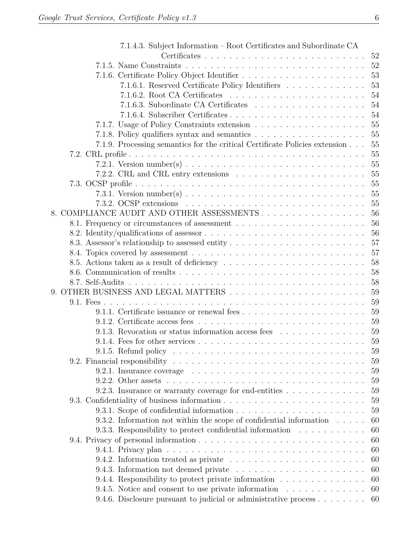| 7.1.4.3. Subject Information – Root Certificates and Subordinate CA                                      |    |
|----------------------------------------------------------------------------------------------------------|----|
|                                                                                                          |    |
|                                                                                                          |    |
|                                                                                                          |    |
| 7.1.6.1. Reserved Certificate Policy Identifiers 53                                                      |    |
|                                                                                                          |    |
|                                                                                                          |    |
|                                                                                                          |    |
| 7.1.7. Usage of Policy Constraints extension 55                                                          |    |
|                                                                                                          |    |
| 7.1.9. Processing semantics for the critical Certificate Policies extension                              | 55 |
|                                                                                                          |    |
|                                                                                                          |    |
|                                                                                                          | 55 |
|                                                                                                          |    |
|                                                                                                          |    |
| 7.3.2. OCSP extensions $\ldots \ldots \ldots \ldots \ldots \ldots \ldots \ldots \ldots \ldots \ldots 55$ |    |
| 8. COMPLIANCE AUDIT AND OTHER ASSESSMENTS 56                                                             |    |
|                                                                                                          | 56 |
|                                                                                                          |    |
|                                                                                                          |    |
|                                                                                                          |    |
|                                                                                                          |    |
|                                                                                                          |    |
|                                                                                                          |    |
|                                                                                                          |    |
|                                                                                                          | 59 |
|                                                                                                          |    |
|                                                                                                          |    |
| 9.1.3. Revocation or status information access fees 59                                                   |    |
|                                                                                                          |    |
|                                                                                                          | 59 |
|                                                                                                          | 59 |
|                                                                                                          | 59 |
|                                                                                                          | 59 |
| 9.2.3. Insurance or warranty coverage for end-entities $\dots \dots \dots \dots$                         | 59 |
|                                                                                                          | 59 |
|                                                                                                          | 59 |
| 9.3.2. Information not within the scope of confidential information $\dots$ .                            | 60 |
| 9.3.3. Responsibility to protect confidential information                                                | 60 |
|                                                                                                          | 60 |
|                                                                                                          | 60 |
| 9.4.2. Information treated as private $\ldots \ldots \ldots \ldots \ldots \ldots \ldots$                 | 60 |
|                                                                                                          | 60 |
| 9.4.4. Responsibility to protect private information                                                     | 60 |
| 9.4.5. Notice and consent to use private information                                                     | 60 |
| 9.4.6. Disclosure pursuant to judicial or administrative process                                         | 60 |
|                                                                                                          |    |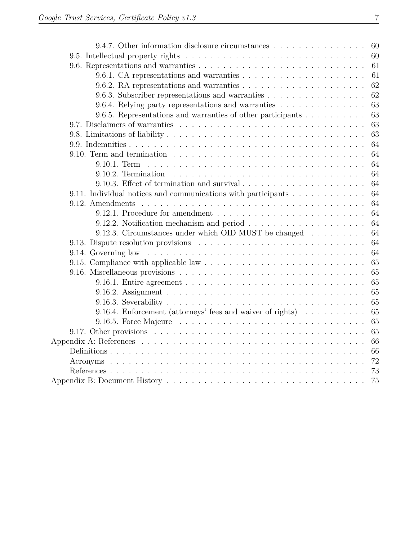| 9.4.7. Other information disclosure circumstances                                                         | - 60 |
|-----------------------------------------------------------------------------------------------------------|------|
|                                                                                                           |      |
|                                                                                                           | 61   |
|                                                                                                           | 61   |
|                                                                                                           | 62   |
| 9.6.3. Subscriber representations and warranties                                                          | 62   |
| 9.6.4. Relying party representations and warranties                                                       | 63   |
| 9.6.5. Representations and warranties of other participants                                               | 63   |
|                                                                                                           | 63   |
|                                                                                                           | 63   |
|                                                                                                           | 64   |
| 9.10. Term and termination $\ldots \ldots \ldots \ldots \ldots \ldots \ldots \ldots \ldots \ldots \ldots$ | 64   |
|                                                                                                           | 64   |
|                                                                                                           | 64   |
|                                                                                                           | 64   |
| 9.11. Individual notices and communications with participants                                             | 64   |
|                                                                                                           | 64   |
|                                                                                                           | 64   |
|                                                                                                           | 64   |
| 9.12.3. Circumstances under which OID MUST be changed $\ldots \ldots \ldots$                              | 64   |
|                                                                                                           | 64   |
|                                                                                                           | 64   |
|                                                                                                           | 65   |
|                                                                                                           | 65   |
|                                                                                                           | 65   |
|                                                                                                           | 65   |
|                                                                                                           | 65   |
| 9.16.4. Enforcement (attorneys' fees and waiver of rights)                                                | 65   |
|                                                                                                           | 65   |
|                                                                                                           | 65   |
|                                                                                                           | 66   |
|                                                                                                           | 66   |
|                                                                                                           | 72   |
|                                                                                                           | 73   |
|                                                                                                           |      |
|                                                                                                           |      |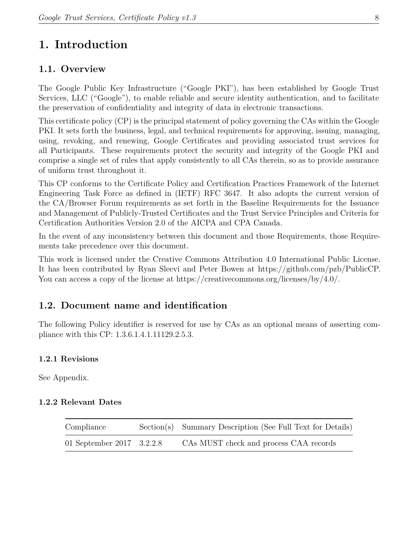# <span id="page-8-0"></span>**1. Introduction**

# <span id="page-8-1"></span>**1.1. Overview**

The Google Public Key Infrastructure ("Google PKI"), has been established by Google Trust Services, LLC ("Google"), to enable reliable and secure identity authentication, and to facilitate the preservation of confidentiality and integrity of data in electronic transactions.

This certificate policy (CP) is the principal statement of policy governing the CAs within the Google PKI. It sets forth the business, legal, and technical requirements for approving, issuing, managing, using, revoking, and renewing, Google Certificates and providing associated trust services for all Participants. These requirements protect the security and integrity of the Google PKI and comprise a single set of rules that apply consistently to all CAs therein, so as to provide assurance of uniform trust throughout it.

This CP conforms to the Certificate Policy and Certification Practices Framework of the Internet Engineering Task Force as defined in (IETF) RFC 3647. It also adopts the current version of the CA/Browser Forum requirements as set forth in the Baseline Requirements for the Issuance and Management of Publicly-Trusted Certificates and the Trust Service Principles and Criteria for Certification Authorities Version 2.0 of the AICPA and CPA Canada.

In the event of any inconsistency between this document and those Requirements, those Requirements take precedence over this document.

This work is licensed under the Creative Commons Attribution 4.0 International Public License. It has been contributed by Ryan Sleevi and Peter Bowen at https://github.com/pzb/PublicCP. You can access a copy of the license at https://creativecommons.org/licenses/by/4.0/.

# <span id="page-8-2"></span>**1.2. Document name and identification**

The following Policy identifier is reserved for use by CAs as an optional means of asserting compliance with this CP: 1.3.6.1.4.1.11129.2.5.3.

# <span id="page-8-3"></span>**1.2.1 Revisions**

See Appendix.

#### <span id="page-8-4"></span>**1.2.2 Relevant Dates**

| Compliance                | Section(s) Summary Description (See Full Text for Details) |
|---------------------------|------------------------------------------------------------|
| 01 September 2017 3.2.2.8 | CAS MUST check and process CAA records                     |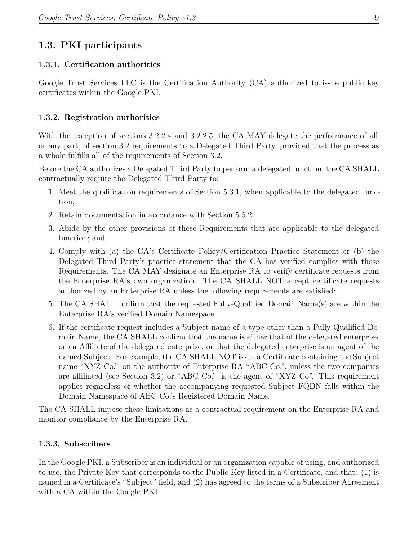# <span id="page-9-0"></span>**1.3. PKI participants**

#### <span id="page-9-1"></span>**1.3.1. Certification authorities**

Google Trust Services LLC is the Certification Authority (CA) authorized to issue public key certificates within the Google PKI.

#### <span id="page-9-2"></span>**1.3.2. Registration authorities**

With the exception of sections 3.2.2.4 and 3.2.2.5, the CA MAY delegate the performance of all, or any part, of section 3.2 requirements to a Delegated Third Party, provided that the process as a whole fulfills all of the requirements of Section 3.2.

Before the CA authorizes a Delegated Third Party to perform a delegated function, the CA SHALL contractually require the Delegated Third Party to:

- 1. Meet the qualification requirements of Section 5.3.1, when applicable to the delegated function;
- 2. Retain documentation in accordance with Section 5.5.2;
- 3. Abide by the other provisions of these Requirements that are applicable to the delegated function; and
- 4. Comply with (a) the CA's Certificate Policy/Certification Practice Statement or (b) the Delegated Third Party's practice statement that the CA has verified complies with these Requirements. The CA MAY designate an Enterprise RA to verify certificate requests from the Enterprise RA's own organization. The CA SHALL NOT accept certificate requests authorized by an Enterprise RA unless the following requirements are satisfied:
- 5. The CA SHALL confirm that the requested Fully-Qualified Domain Name(s) are within the Enterprise RA's verified Domain Namespace.
- 6. If the certificate request includes a Subject name of a type other than a Fully-Qualified Domain Name, the CA SHALL confirm that the name is either that of the delegated enterprise, or an Affiliate of the delegated enterprise, or that the delegated enterprise is an agent of the named Subject. For example, the CA SHALL NOT issue a Certificate containing the Subject name "XYZ Co." on the authority of Enterprise RA "ABC Co.", unless the two companies are affiliated (see Section 3.2) or "ABC Co." is the agent of "XYZ Co". This requirement applies regardless of whether the accompanying requested Subject FQDN falls within the Domain Namespace of ABC Co.'s Registered Domain Name.

The CA SHALL impose these limitations as a contractual requirement on the Enterprise RA and monitor compliance by the Enterprise RA.

#### <span id="page-9-3"></span>**1.3.3. Subscribers**

In the Google PKI, a Subscriber is an individual or an organization capable of using, and authorized to use, the Private Key that corresponds to the Public Key listed in a Certificate, and that: (1) is named in a Certificate's "Subject" field, and (2) has agreed to the terms of a Subscriber Agreement with a CA within the Google PKI.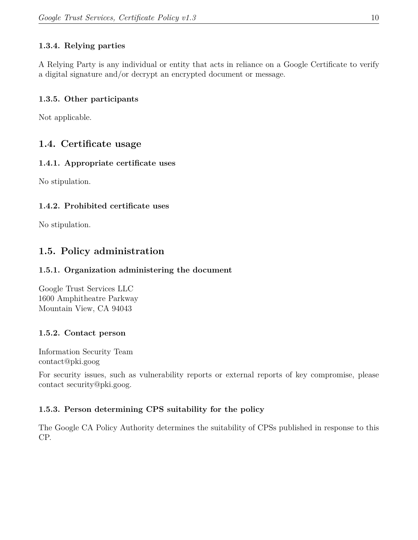# <span id="page-10-0"></span>**1.3.4. Relying parties**

A Relying Party is any individual or entity that acts in reliance on a Google Certificate to verify a digital signature and/or decrypt an encrypted document or message.

# <span id="page-10-1"></span>**1.3.5. Other participants**

Not applicable.

# <span id="page-10-2"></span>**1.4. Certificate usage**

# <span id="page-10-3"></span>**1.4.1. Appropriate certificate uses**

No stipulation.

# <span id="page-10-4"></span>**1.4.2. Prohibited certificate uses**

No stipulation.

# <span id="page-10-5"></span>**1.5. Policy administration**

# <span id="page-10-6"></span>**1.5.1. Organization administering the document**

Google Trust Services LLC 1600 Amphitheatre Parkway Mountain View, CA 94043

# <span id="page-10-7"></span>**1.5.2. Contact person**

Information Security Team contact@pki.goog

For security issues, such as vulnerability reports or external reports of key compromise, please contact security@pki.goog.

# <span id="page-10-8"></span>**1.5.3. Person determining CPS suitability for the policy**

The Google CA Policy Authority determines the suitability of CPSs published in response to this CP.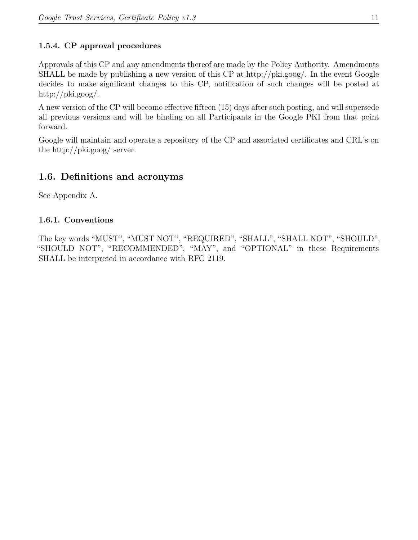# <span id="page-11-0"></span>**1.5.4. CP approval procedures**

Approvals of this CP and any amendments thereof are made by the Policy Authority. Amendments SHALL be made by publishing a new version of this CP at http://pki.goog/. In the event Google decides to make significant changes to this CP, notification of such changes will be posted at http://pki.goog/.

A new version of the CP will become effective fifteen (15) days after such posting, and will supersede all previous versions and will be binding on all Participants in the Google PKI from that point forward.

Google will maintain and operate a repository of the CP and associated certificates and CRL's on the http://pki.goog/ server.

# <span id="page-11-1"></span>**1.6. Definitions and acronyms**

See Appendix A.

# <span id="page-11-2"></span>**1.6.1. Conventions**

The key words "MUST", "MUST NOT", "REQUIRED", "SHALL", "SHALL NOT", "SHOULD", "SHOULD NOT", "RECOMMENDED", "MAY", and "OPTIONAL" in these Requirements SHALL be interpreted in accordance with RFC 2119.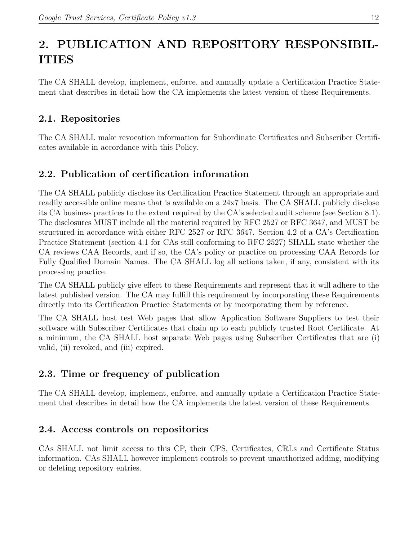# <span id="page-12-0"></span>**2. PUBLICATION AND REPOSITORY RESPONSIBIL-ITIES**

The CA SHALL develop, implement, enforce, and annually update a Certification Practice Statement that describes in detail how the CA implements the latest version of these Requirements.

# <span id="page-12-1"></span>**2.1. Repositories**

The CA SHALL make revocation information for Subordinate Certificates and Subscriber Certificates available in accordance with this Policy.

# <span id="page-12-2"></span>**2.2. Publication of certification information**

The CA SHALL publicly disclose its Certification Practice Statement through an appropriate and readily accessible online means that is available on a 24x7 basis. The CA SHALL publicly disclose its CA business practices to the extent required by the CA's selected audit scheme (see Section 8.1). The disclosures MUST include all the material required by RFC 2527 or RFC 3647, and MUST be structured in accordance with either RFC 2527 or RFC 3647. Section 4.2 of a CA's Certification Practice Statement (section 4.1 for CAs still conforming to RFC 2527) SHALL state whether the CA reviews CAA Records, and if so, the CA's policy or practice on processing CAA Records for Fully Qualified Domain Names. The CA SHALL log all actions taken, if any, consistent with its processing practice.

The CA SHALL publicly give effect to these Requirements and represent that it will adhere to the latest published version. The CA may fulfill this requirement by incorporating these Requirements directly into its Certification Practice Statements or by incorporating them by reference.

The CA SHALL host test Web pages that allow Application Software Suppliers to test their software with Subscriber Certificates that chain up to each publicly trusted Root Certificate. At a minimum, the CA SHALL host separate Web pages using Subscriber Certificates that are (i) valid, (ii) revoked, and (iii) expired.

# <span id="page-12-3"></span>**2.3. Time or frequency of publication**

The CA SHALL develop, implement, enforce, and annually update a Certification Practice Statement that describes in detail how the CA implements the latest version of these Requirements.

# <span id="page-12-4"></span>**2.4. Access controls on repositories**

CAs SHALL not limit access to this CP, their CPS, Certificates, CRLs and Certificate Status information. CAs SHALL however implement controls to prevent unauthorized adding, modifying or deleting repository entries.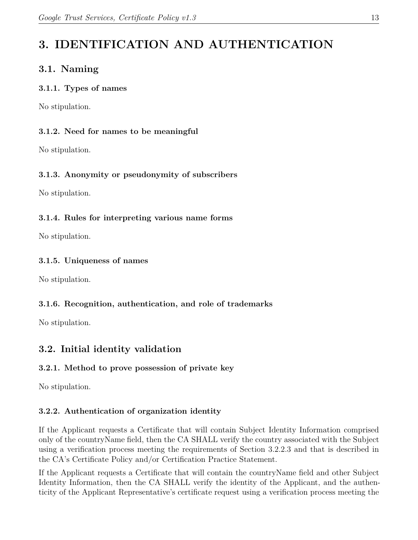# <span id="page-13-0"></span>**3. IDENTIFICATION AND AUTHENTICATION**

# <span id="page-13-1"></span>**3.1. Naming**

#### <span id="page-13-2"></span>**3.1.1. Types of names**

No stipulation.

# <span id="page-13-3"></span>**3.1.2. Need for names to be meaningful**

No stipulation.

# <span id="page-13-4"></span>**3.1.3. Anonymity or pseudonymity of subscribers**

No stipulation.

# <span id="page-13-5"></span>**3.1.4. Rules for interpreting various name forms**

No stipulation.

# <span id="page-13-6"></span>**3.1.5. Uniqueness of names**

No stipulation.

# <span id="page-13-7"></span>**3.1.6. Recognition, authentication, and role of trademarks**

No stipulation.

# <span id="page-13-8"></span>**3.2. Initial identity validation**

# <span id="page-13-9"></span>**3.2.1. Method to prove possession of private key**

No stipulation.

# <span id="page-13-10"></span>**3.2.2. Authentication of organization identity**

If the Applicant requests a Certificate that will contain Subject Identity Information comprised only of the countryName field, then the CA SHALL verify the country associated with the Subject using a verification process meeting the requirements of Section 3.2.2.3 and that is described in the CA's Certificate Policy and/or Certification Practice Statement.

If the Applicant requests a Certificate that will contain the countryName field and other Subject Identity Information, then the CA SHALL verify the identity of the Applicant, and the authenticity of the Applicant Representative's certificate request using a verification process meeting the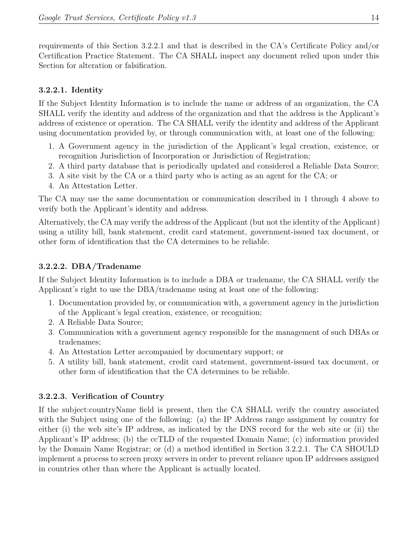requirements of this Section 3.2.2.1 and that is described in the CA's Certificate Policy and/or Certification Practice Statement. The CA SHALL inspect any document relied upon under this Section for alteration or falsification.

#### <span id="page-14-0"></span>**3.2.2.1. Identity**

If the Subject Identity Information is to include the name or address of an organization, the CA SHALL verify the identity and address of the organization and that the address is the Applicant's address of existence or operation. The CA SHALL verify the identity and address of the Applicant using documentation provided by, or through communication with, at least one of the following:

- 1. A Government agency in the jurisdiction of the Applicant's legal creation, existence, or recognition Jurisdiction of Incorporation or Jurisdiction of Registration;
- 2. A third party database that is periodically updated and considered a Reliable Data Source;
- 3. A site visit by the CA or a third party who is acting as an agent for the CA; or
- 4. An Attestation Letter.

The CA may use the same documentation or communication described in 1 through 4 above to verify both the Applicant's identity and address.

Alternatively, the CA may verify the address of the Applicant (but not the identity of the Applicant) using a utility bill, bank statement, credit card statement, government-issued tax document, or other form of identification that the CA determines to be reliable.

#### <span id="page-14-1"></span>**3.2.2.2. DBA/Tradename**

If the Subject Identity Information is to include a DBA or tradename, the CA SHALL verify the Applicant's right to use the DBA/tradename using at least one of the following:

- 1. Documentation provided by, or communication with, a government agency in the jurisdiction of the Applicant's legal creation, existence, or recognition;
- 2. A Reliable Data Source;
- 3. Communication with a government agency responsible for the management of such DBAs or tradenames;
- 4. An Attestation Letter accompanied by documentary support; or
- 5. A utility bill, bank statement, credit card statement, government-issued tax document, or other form of identification that the CA determines to be reliable.

#### <span id="page-14-2"></span>**3.2.2.3. Verification of Country**

If the subject:countryName field is present, then the CA SHALL verify the country associated with the Subject using one of the following: (a) the IP Address range assignment by country for either (i) the web site's IP address, as indicated by the DNS record for the web site or (ii) the Applicant's IP address; (b) the ccTLD of the requested Domain Name; (c) information provided by the Domain Name Registrar; or (d) a method identified in Section 3.2.2.1. The CA SHOULD implement a process to screen proxy servers in order to prevent reliance upon IP addresses assigned in countries other than where the Applicant is actually located.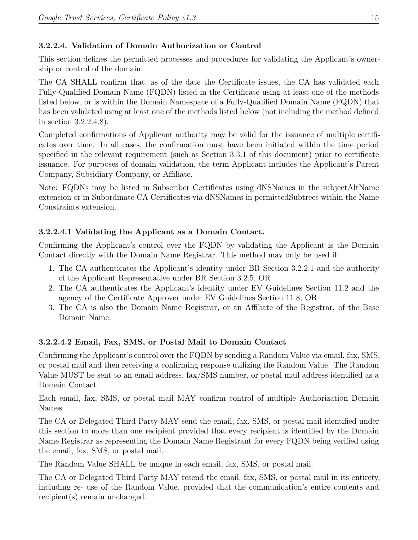### <span id="page-15-0"></span>**3.2.2.4. Validation of Domain Authorization or Control**

This section defines the permitted processes and procedures for validating the Applicant's ownership or control of the domain.

The CA SHALL confirm that, as of the date the Certificate issues, the CA has validated each Fully‐Qualified Domain Name (FQDN) listed in the Certificate using at least one of the methods listed below, or is within the Domain Namespace of a Fully-Qualified Domain Name (FQDN) that has been validated using at least one of the methods listed below (not including the method defined in section 3.2.2.4.8).

Completed confirmations of Applicant authority may be valid for the issuance of multiple certificates over time. In all cases, the confirmation must have been initiated within the time period specified in the relevant requirement (such as Section 3.3.1 of this document) prior to certificate issuance. For purposes of domain validation, the term Applicant includes the Applicant's Parent Company, Subsidiary Company, or Affiliate.

Note: FQDNs may be listed in Subscriber Certificates using dNSNames in the subjectAltName extension or in Subordinate CA Certificates via dNSNames in permittedSubtrees within the Name Constraints extension.

### **3.2.2.4.1 Validating the Applicant as a Domain Contact.**

Confirming the Applicant's control over the FQDN by validating the Applicant is the Domain Contact directly with the Domain Name Registrar. This method may only be used if:

- 1. The CA authenticates the Applicant's identity under BR Section 3.2.2.1 and the authority of the Applicant Representative under BR Section 3.2.5, OR
- 2. The CA authenticates the Applicant's identity under EV Guidelines Section 11.2 and the agency of the Certificate Approver under EV Guidelines Section 11.8; OR
- 3. The CA is also the Domain Name Registrar, or an Affiliate of the Registrar, of the Base Domain Name.

#### **3.2.2.4.2 Email, Fax, SMS, or Postal Mail to Domain Contact**

Confirming the Applicant's control over the FQDN by sending a Random Value via email, fax, SMS, or postal mail and then receiving a confirming response utilizing the Random Value. The Random Value MUST be sent to an email address, fax/SMS number, or postal mail address identified as a Domain Contact.

Each email, fax, SMS, or postal mail MAY confirm control of multiple Authorization Domain Names.

The CA or Delegated Third Party MAY send the email, fax, SMS, or postal mail identified under this section to more than one recipient provided that every recipient is identified by the Domain Name Registrar as representing the Domain Name Registrant for every FQDN being verified using the email, fax, SMS, or postal mail.

The Random Value SHALL be unique in each email, fax, SMS, or postal mail.

The CA or Delegated Third Party MAY resend the email, fax, SMS, or postal mail in its entirety, including re‐ use of the Random Value, provided that the communication's entire contents and recipient(s) remain unchanged.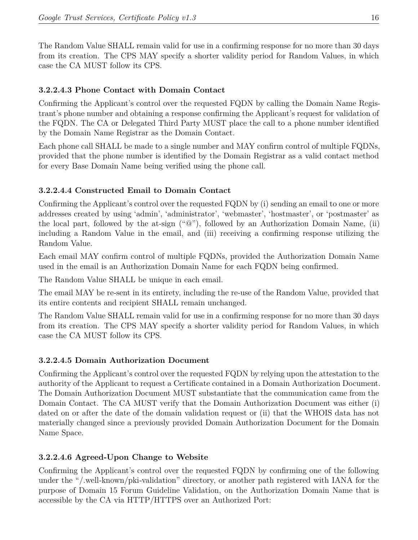The Random Value SHALL remain valid for use in a confirming response for no more than 30 days from its creation. The CPS MAY specify a shorter validity period for Random Values, in which case the CA MUST follow its CPS.

### **3.2.2.4.3 Phone Contact with Domain Contact**

Confirming the Applicant's control over the requested FQDN by calling the Domain Name Registrant's phone number and obtaining a response confirming the Applicant's request for validation of the FQDN. The CA or Delegated Third Party MUST place the call to a phone number identified by the Domain Name Registrar as the Domain Contact.

Each phone call SHALL be made to a single number and MAY confirm control of multiple FQDNs, provided that the phone number is identified by the Domain Registrar as a valid contact method for every Base Domain Name being verified using the phone call.

### **3.2.2.4.4 Constructed Email to Domain Contact**

Confirming the Applicant's control over the requested FQDN by (i) sending an email to one or more addresses created by using 'admin', 'administrator', 'webmaster', 'hostmaster', or 'postmaster' as the local part, followed by the at-sign  $({}^{\omega}@{\omega}$ ), followed by an Authorization Domain Name, (ii) including a Random Value in the email, and (iii) receiving a confirming response utilizing the Random Value.

Each email MAY confirm control of multiple FQDNs, provided the Authorization Domain Name used in the email is an Authorization Domain Name for each FQDN being confirmed.

The Random Value SHALL be unique in each email.

The email MAY be re-sent in its entirety, including the re-use of the Random Value, provided that its entire contents and recipient SHALL remain unchanged.

The Random Value SHALL remain valid for use in a confirming response for no more than 30 days from its creation. The CPS MAY specify a shorter validity period for Random Values, in which case the CA MUST follow its CPS.

#### **3.2.2.4.5 Domain Authorization Document**

Confirming the Applicant's control over the requested FQDN by relying upon the attestation to the authority of the Applicant to request a Certificate contained in a Domain Authorization Document. The Domain Authorization Document MUST substantiate that the communication came from the Domain Contact. The CA MUST verify that the Domain Authorization Document was either (i) dated on or after the date of the domain validation request or (ii) that the WHOIS data has not materially changed since a previously provided Domain Authorization Document for the Domain Name Space.

#### **3.2.2.4.6 Agreed‐Upon Change to Website**

Confirming the Applicant's control over the requested FQDN by confirming one of the following under the "/.well-known/pki-validation" directory, or another path registered with IANA for the purpose of Domain 15 Forum Guideline Validation, on the Authorization Domain Name that is accessible by the CA via HTTP/HTTPS over an Authorized Port: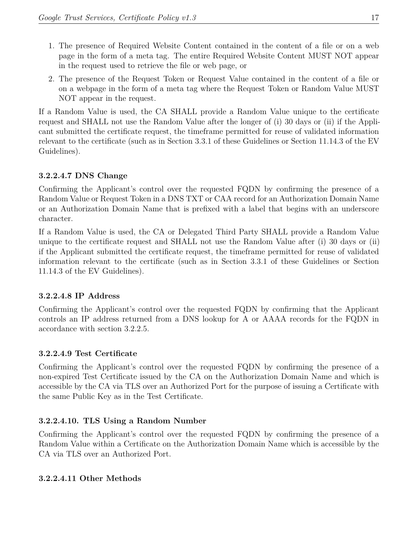- 1. The presence of Required Website Content contained in the content of a file or on a web page in the form of a meta tag. The entire Required Website Content MUST NOT appear in the request used to retrieve the file or web page, or
- 2. The presence of the Request Token or Request Value contained in the content of a file or on a webpage in the form of a meta tag where the Request Token or Random Value MUST NOT appear in the request.

If a Random Value is used, the CA SHALL provide a Random Value unique to the certificate request and SHALL not use the Random Value after the longer of (i) 30 days or (ii) if the Applicant submitted the certificate request, the timeframe permitted for reuse of validated information relevant to the certificate (such as in Section 3.3.1 of these Guidelines or Section 11.14.3 of the EV Guidelines).

### **3.2.2.4.7 DNS Change**

Confirming the Applicant's control over the requested FQDN by confirming the presence of a Random Value or Request Token in a DNS TXT or CAA record for an Authorization Domain Name or an Authorization Domain Name that is prefixed with a label that begins with an underscore character.

If a Random Value is used, the CA or Delegated Third Party SHALL provide a Random Value unique to the certificate request and SHALL not use the Random Value after (i) 30 days or (ii) if the Applicant submitted the certificate request, the timeframe permitted for reuse of validated information relevant to the certificate (such as in Section 3.3.1 of these Guidelines or Section 11.14.3 of the EV Guidelines).

#### **3.2.2.4.8 IP Address**

Confirming the Applicant's control over the requested FQDN by confirming that the Applicant controls an IP address returned from a DNS lookup for A or AAAA records for the FQDN in accordance with section 3.2.2.5.

#### **3.2.2.4.9 Test Certificate**

Confirming the Applicant's control over the requested FQDN by confirming the presence of a non-expired Test Certificate issued by the CA on the Authorization Domain Name and which is accessible by the CA via TLS over an Authorized Port for the purpose of issuing a Certificate with the same Public Key as in the Test Certificate.

#### **3.2.2.4.10. TLS Using a Random Number**

Confirming the Applicant's control over the requested FQDN by confirming the presence of a Random Value within a Certificate on the Authorization Domain Name which is accessible by the CA via TLS over an Authorized Port.

#### **3.2.2.4.11 Other Methods**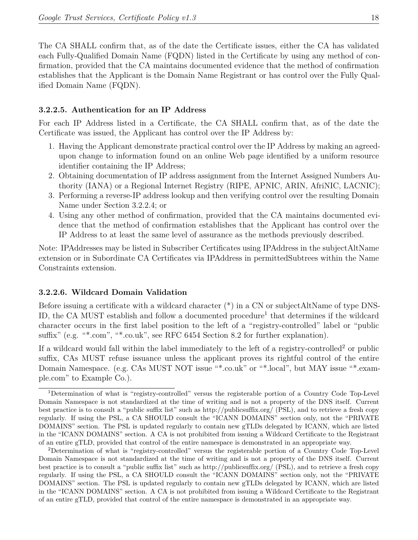The CA SHALL confirm that, as of the date the Certificate issues, either the CA has validated each Fully-Qualified Domain Name (FQDN) listed in the Certificate by using any method of confirmation, provided that the CA maintains documented evidence that the method of confirmation establishes that the Applicant is the Domain Name Registrant or has control over the Fully Qualified Domain Name (FQDN).

#### <span id="page-18-0"></span>**3.2.2.5. Authentication for an IP Address**

For each IP Address listed in a Certificate, the CA SHALL confirm that, as of the date the Certificate was issued, the Applicant has control over the IP Address by:

- 1. Having the Applicant demonstrate practical control over the IP Address by making an agreedupon change to information found on an online Web page identified by a uniform resource identifier containing the IP Address;
- 2. Obtaining documentation of IP address assignment from the Internet Assigned Numbers Authority (IANA) or a Regional Internet Registry (RIPE, APNIC, ARIN, AfriNIC, LACNIC);
- 3. Performing a reverse-IP address lookup and then verifying control over the resulting Domain Name under Section 3.2.2.4; or
- 4. Using any other method of confirmation, provided that the CA maintains documented evidence that the method of confirmation establishes that the Applicant has control over the IP Address to at least the same level of assurance as the methods previously described.

Note: IPAddresses may be listed in Subscriber Certificates using IPAddress in the subjectAltName extension or in Subordinate CA Certificates via IPAddress in permittedSubtrees within the Name Constraints extension.

#### <span id="page-18-1"></span>**3.2.2.6. Wildcard Domain Validation**

Before issuing a certificate with a wildcard character  $(*)$  in a CN or subjectAltName of type DNS-ID, the CA MUST establish and follow a documented procedure<sup>[1](#page-18-2)</sup> that determines if the wildcard character occurs in the first label position to the left of a "registry-controlled" label or "public suffix" (e.g. "\*.com", "\*.co.uk", see RFC 6454 Section 8.2 for further explanation).

If a wildcard would fall within the label immediately to the left of a registry-controlled<sup>[2](#page-18-3)</sup> or public suffix, CAs MUST refuse issuance unless the applicant proves its rightful control of the entire Domain Namespace. (e.g. CAs MUST NOT issue "\*.co.uk" or "\*.local", but MAY issue "\*.example.com" to Example Co.).

<span id="page-18-2"></span><sup>1</sup>Determination of what is "registry-controlled" versus the registerable portion of a Country Code Top-Level Domain Namespace is not standardized at the time of writing and is not a property of the DNS itself. Current best practice is to consult a "public suffix list" such as <http://publicsuffix.org/> (PSL), and to retrieve a fresh copy regularly. If using the PSL, a CA SHOULD consult the "ICANN DOMAINS" section only, not the "PRIVATE DOMAINS" section. The PSL is updated regularly to contain new gTLDs delegated by ICANN, which are listed in the "ICANN DOMAINS" section. A CA is not prohibited from issuing a Wildcard Certificate to the Registrant of an entire gTLD, provided that control of the entire namespace is demonstrated in an appropriate way.

<span id="page-18-3"></span><sup>2</sup>Determination of what is "registry-controlled" versus the registerable portion of a Country Code Top-Level Domain Namespace is not standardized at the time of writing and is not a property of the DNS itself. Current best practice is to consult a "public suffix list" such as <http://publicsuffix.org/> (PSL), and to retrieve a fresh copy regularly. If using the PSL, a CA SHOULD consult the "ICANN DOMAINS" section only, not the "PRIVATE DOMAINS" section. The PSL is updated regularly to contain new gTLDs delegated by ICANN, which are listed in the "ICANN DOMAINS" section. A CA is not prohibited from issuing a Wildcard Certificate to the Registrant of an entire gTLD, provided that control of the entire namespace is demonstrated in an appropriate way.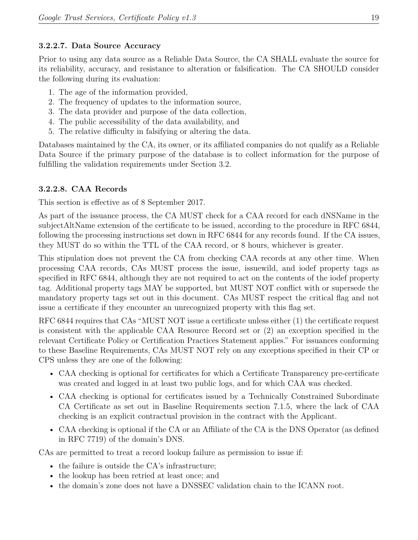#### <span id="page-19-0"></span>**3.2.2.7. Data Source Accuracy**

Prior to using any data source as a Reliable Data Source, the CA SHALL evaluate the source for its reliability, accuracy, and resistance to alteration or falsification. The CA SHOULD consider the following during its evaluation:

- 1. The age of the information provided,
- 2. The frequency of updates to the information source,
- 3. The data provider and purpose of the data collection,
- 4. The public accessibility of the data availability, and
- 5. The relative difficulty in falsifying or altering the data.

Databases maintained by the CA, its owner, or its affiliated companies do not qualify as a Reliable Data Source if the primary purpose of the database is to collect information for the purpose of fulfilling the validation requirements under Section 3.2.

### <span id="page-19-1"></span>**3.2.2.8. CAA Records**

This section is effective as of 8 September 2017.

As part of the issuance process, the CA MUST check for a CAA record for each dNSName in the subjectAltName extension of the certificate to be issued, according to the procedure in RFC 6844, following the processing instructions set down in RFC 6844 for any records found. If the CA issues, they MUST do so within the TTL of the CAA record, or 8 hours, whichever is greater.

This stipulation does not prevent the CA from checking CAA records at any other time. When processing CAA records, CAs MUST process the issue, issuewild, and iodef property tags as specified in RFC 6844, although they are not required to act on the contents of the iodef property tag. Additional property tags MAY be supported, but MUST NOT conflict with or supersede the mandatory property tags set out in this document. CAs MUST respect the critical flag and not issue a certificate if they encounter an unrecognized property with this flag set.

RFC 6844 requires that CAs "MUST NOT issue a certificate unless either (1) the certificate request is consistent with the applicable CAA Resource Record set or (2) an exception specified in the relevant Certificate Policy or Certification Practices Statement applies." For issuances conforming to these Baseline Requirements, CAs MUST NOT rely on any exceptions specified in their CP or CPS unless they are one of the following:

- CAA checking is optional for certificates for which a Certificate Transparency pre-certificate was created and logged in at least two public logs, and for which CAA was checked.
- CAA checking is optional for certificates issued by a Technically Constrained Subordinate CA Certificate as set out in Baseline Requirements section 7.1.5, where the lack of CAA checking is an explicit contractual provision in the contract with the Applicant.
- CAA checking is optional if the CA or an Affiliate of the CA is the DNS Operator (as defined in RFC 7719) of the domain's DNS.

CAs are permitted to treat a record lookup failure as permission to issue if:

- the failure is outside the CA's infrastructure;
- the lookup has been retried at least once; and
- the domain's zone does not have a DNSSEC validation chain to the ICANN root.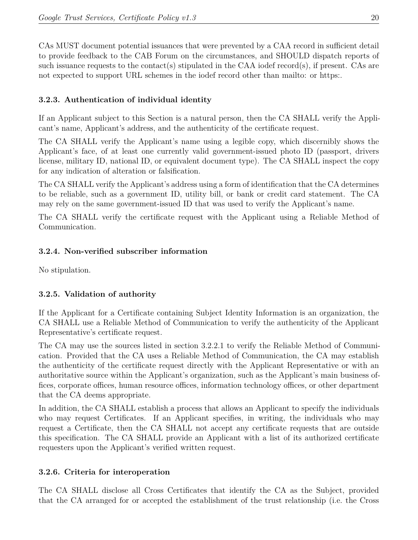CAs MUST document potential issuances that were prevented by a CAA record in sufficient detail to provide feedback to the CAB Forum on the circumstances, and SHOULD dispatch reports of such issuance requests to the contact(s) stipulated in the CAA iodef record(s), if present. CAs are not expected to support URL schemes in the iodef record other than mailto: or https:.

# <span id="page-20-0"></span>**3.2.3. Authentication of individual identity**

If an Applicant subject to this Section is a natural person, then the CA SHALL verify the Applicant's name, Applicant's address, and the authenticity of the certificate request.

The CA SHALL verify the Applicant's name using a legible copy, which discernibly shows the Applicant's face, of at least one currently valid government-issued photo ID (passport, drivers license, military ID, national ID, or equivalent document type). The CA SHALL inspect the copy for any indication of alteration or falsification.

The CA SHALL verify the Applicant's address using a form of identification that the CA determines to be reliable, such as a government ID, utility bill, or bank or credit card statement. The CA may rely on the same government-issued ID that was used to verify the Applicant's name.

The CA SHALL verify the certificate request with the Applicant using a Reliable Method of Communication.

#### <span id="page-20-1"></span>**3.2.4. Non-verified subscriber information**

No stipulation.

#### <span id="page-20-2"></span>**3.2.5. Validation of authority**

If the Applicant for a Certificate containing Subject Identity Information is an organization, the CA SHALL use a Reliable Method of Communication to verify the authenticity of the Applicant Representative's certificate request.

The CA may use the sources listed in section 3.2.2.1 to verify the Reliable Method of Communication. Provided that the CA uses a Reliable Method of Communication, the CA may establish the authenticity of the certificate request directly with the Applicant Representative or with an authoritative source within the Applicant's organization, such as the Applicant's main business offices, corporate offices, human resource offices, information technology offices, or other department that the CA deems appropriate.

In addition, the CA SHALL establish a process that allows an Applicant to specify the individuals who may request Certificates. If an Applicant specifies, in writing, the individuals who may request a Certificate, then the CA SHALL not accept any certificate requests that are outside this specification. The CA SHALL provide an Applicant with a list of its authorized certificate requesters upon the Applicant's verified written request.

#### <span id="page-20-3"></span>**3.2.6. Criteria for interoperation**

The CA SHALL disclose all Cross Certificates that identify the CA as the Subject, provided that the CA arranged for or accepted the establishment of the trust relationship (i.e. the Cross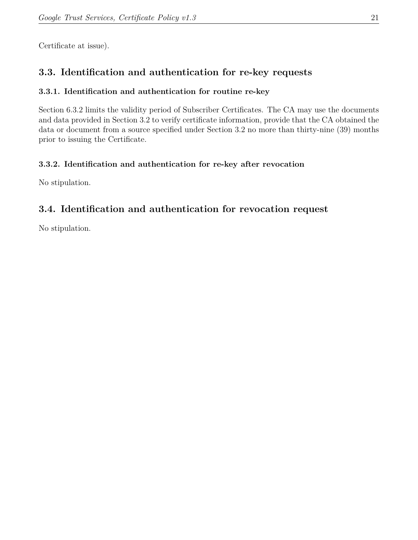Certificate at issue).

# <span id="page-21-0"></span>**3.3. Identification and authentication for re-key requests**

### <span id="page-21-1"></span>**3.3.1. Identification and authentication for routine re-key**

Section 6.3.2 limits the validity period of Subscriber Certificates. The CA may use the documents and data provided in Section 3.2 to verify certificate information, provide that the CA obtained the data or document from a source specified under Section 3.2 no more than thirty-nine (39) months prior to issuing the Certificate.

# <span id="page-21-2"></span>**3.3.2. Identification and authentication for re-key after revocation**

No stipulation.

# <span id="page-21-3"></span>**3.4. Identification and authentication for revocation request**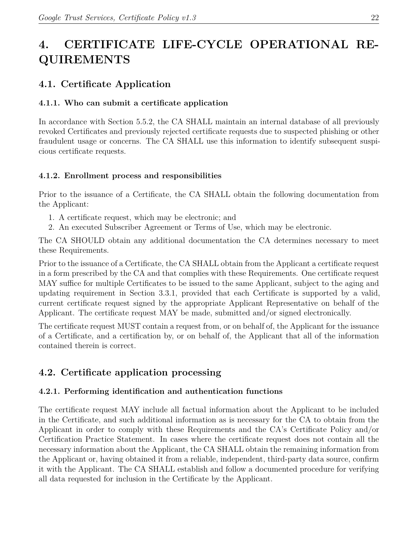# <span id="page-22-0"></span>**4. CERTIFICATE LIFE-CYCLE OPERATIONAL RE-QUIREMENTS**

# <span id="page-22-1"></span>**4.1. Certificate Application**

# <span id="page-22-2"></span>**4.1.1. Who can submit a certificate application**

In accordance with Section 5.5.2, the CA SHALL maintain an internal database of all previously revoked Certificates and previously rejected certificate requests due to suspected phishing or other fraudulent usage or concerns. The CA SHALL use this information to identify subsequent suspicious certificate requests.

# <span id="page-22-3"></span>**4.1.2. Enrollment process and responsibilities**

Prior to the issuance of a Certificate, the CA SHALL obtain the following documentation from the Applicant:

- 1. A certificate request, which may be electronic; and
- 2. An executed Subscriber Agreement or Terms of Use, which may be electronic.

The CA SHOULD obtain any additional documentation the CA determines necessary to meet these Requirements.

Prior to the issuance of a Certificate, the CA SHALL obtain from the Applicant a certificate request in a form prescribed by the CA and that complies with these Requirements. One certificate request MAY suffice for multiple Certificates to be issued to the same Applicant, subject to the aging and updating requirement in Section 3.3.1, provided that each Certificate is supported by a valid, current certificate request signed by the appropriate Applicant Representative on behalf of the Applicant. The certificate request MAY be made, submitted and/or signed electronically.

The certificate request MUST contain a request from, or on behalf of, the Applicant for the issuance of a Certificate, and a certification by, or on behalf of, the Applicant that all of the information contained therein is correct.

# <span id="page-22-4"></span>**4.2. Certificate application processing**

# <span id="page-22-5"></span>**4.2.1. Performing identification and authentication functions**

The certificate request MAY include all factual information about the Applicant to be included in the Certificate, and such additional information as is necessary for the CA to obtain from the Applicant in order to comply with these Requirements and the CA's Certificate Policy and/or Certification Practice Statement. In cases where the certificate request does not contain all the necessary information about the Applicant, the CA SHALL obtain the remaining information from the Applicant or, having obtained it from a reliable, independent, third-party data source, confirm it with the Applicant. The CA SHALL establish and follow a documented procedure for verifying all data requested for inclusion in the Certificate by the Applicant.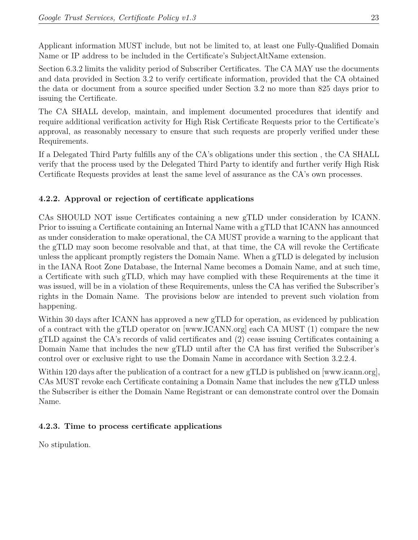Applicant information MUST include, but not be limited to, at least one Fully-Qualified Domain Name or IP address to be included in the Certificate's SubjectAltName extension.

Section 6.3.2 limits the validity period of Subscriber Certificates. The CA MAY use the documents and data provided in Section 3.2 to verify certificate information, provided that the CA obtained the data or document from a source specified under Section 3.2 no more than 825 days prior to issuing the Certificate.

The CA SHALL develop, maintain, and implement documented procedures that identify and require additional verification activity for High Risk Certificate Requests prior to the Certificate's approval, as reasonably necessary to ensure that such requests are properly verified under these Requirements.

If a Delegated Third Party fulfills any of the CA's obligations under this section , the CA SHALL verify that the process used by the Delegated Third Party to identify and further verify High Risk Certificate Requests provides at least the same level of assurance as the CA's own processes.

# <span id="page-23-0"></span>**4.2.2. Approval or rejection of certificate applications**

CAs SHOULD NOT issue Certificates containing a new gTLD under consideration by ICANN. Prior to issuing a Certificate containing an Internal Name with a gTLD that ICANN has announced as under consideration to make operational, the CA MUST provide a warning to the applicant that the gTLD may soon become resolvable and that, at that time, the CA will revoke the Certificate unless the applicant promptly registers the Domain Name. When a gTLD is delegated by inclusion in the IANA Root Zone Database, the Internal Name becomes a Domain Name, and at such time, a Certificate with such gTLD, which may have complied with these Requirements at the time it was issued, will be in a violation of these Requirements, unless the CA has verified the Subscriber's rights in the Domain Name. The provisions below are intended to prevent such violation from happening.

Within 30 days after ICANN has approved a new gTLD for operation, as evidenced by publication of a contract with the gTLD operator on [www.ICANN.org] each CA MUST (1) compare the new gTLD against the CA's records of valid certificates and (2) cease issuing Certificates containing a Domain Name that includes the new gTLD until after the CA has first verified the Subscriber's control over or exclusive right to use the Domain Name in accordance with Section 3.2.2.4.

Within 120 days after the publication of a contract for a new gTLD is published on [www.icann.org], CAs MUST revoke each Certificate containing a Domain Name that includes the new gTLD unless the Subscriber is either the Domain Name Registrant or can demonstrate control over the Domain Name.

#### <span id="page-23-1"></span>**4.2.3. Time to process certificate applications**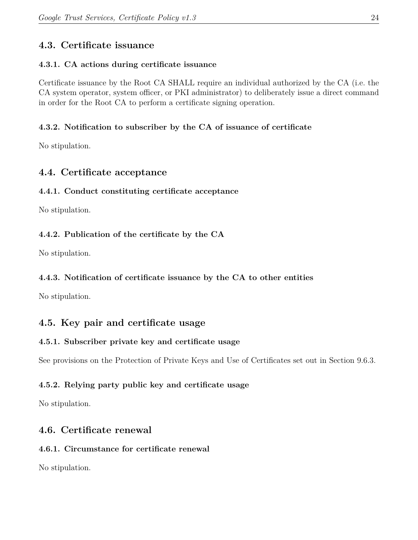# <span id="page-24-0"></span>**4.3. Certificate issuance**

# <span id="page-24-1"></span>**4.3.1. CA actions during certificate issuance**

Certificate issuance by the Root CA SHALL require an individual authorized by the CA (i.e. the CA system operator, system officer, or PKI administrator) to deliberately issue a direct command in order for the Root CA to perform a certificate signing operation.

# <span id="page-24-2"></span>**4.3.2. Notification to subscriber by the CA of issuance of certificate**

No stipulation.

# <span id="page-24-3"></span>**4.4. Certificate acceptance**

# <span id="page-24-4"></span>**4.4.1. Conduct constituting certificate acceptance**

No stipulation.

# <span id="page-24-5"></span>**4.4.2. Publication of the certificate by the CA**

No stipulation.

# <span id="page-24-6"></span>**4.4.3. Notification of certificate issuance by the CA to other entities**

No stipulation.

# <span id="page-24-7"></span>**4.5. Key pair and certificate usage**

# <span id="page-24-8"></span>**4.5.1. Subscriber private key and certificate usage**

See provisions on the Protection of Private Keys and Use of Certificates set out in Section 9.6.3.

# <span id="page-24-9"></span>**4.5.2. Relying party public key and certificate usage**

No stipulation.

# <span id="page-24-10"></span>**4.6. Certificate renewal**

# <span id="page-24-11"></span>**4.6.1. Circumstance for certificate renewal**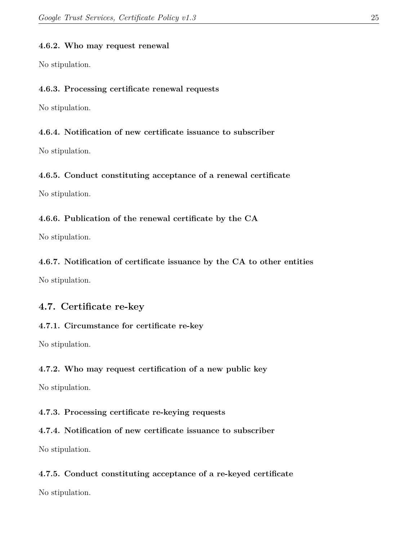#### <span id="page-25-0"></span>**4.6.2. Who may request renewal**

No stipulation.

#### <span id="page-25-1"></span>**4.6.3. Processing certificate renewal requests**

No stipulation.

#### <span id="page-25-2"></span>**4.6.4. Notification of new certificate issuance to subscriber**

No stipulation.

#### <span id="page-25-3"></span>**4.6.5. Conduct constituting acceptance of a renewal certificate**

No stipulation.

#### <span id="page-25-4"></span>**4.6.6. Publication of the renewal certificate by the CA**

No stipulation.

#### <span id="page-25-5"></span>**4.6.7. Notification of certificate issuance by the CA to other entities**

No stipulation.

# <span id="page-25-6"></span>**4.7. Certificate re-key**

#### <span id="page-25-7"></span>**4.7.1. Circumstance for certificate re-key**

No stipulation.

#### <span id="page-25-8"></span>**4.7.2. Who may request certification of a new public key**

No stipulation.

#### <span id="page-25-9"></span>**4.7.3. Processing certificate re-keying requests**

# <span id="page-25-10"></span>**4.7.4. Notification of new certificate issuance to subscriber**

No stipulation.

# <span id="page-25-11"></span>**4.7.5. Conduct constituting acceptance of a re-keyed certificate**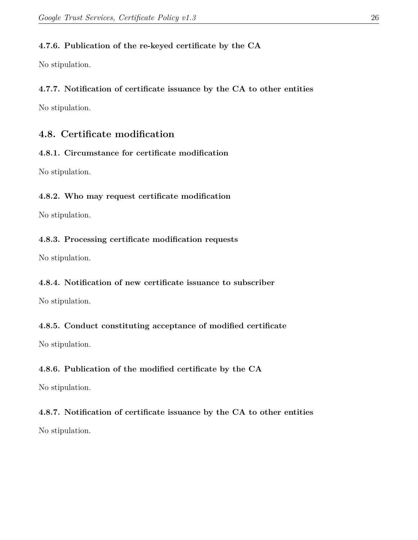#### <span id="page-26-0"></span>**4.7.6. Publication of the re-keyed certificate by the CA**

No stipulation.

# <span id="page-26-1"></span>**4.7.7. Notification of certificate issuance by the CA to other entities**

No stipulation.

# <span id="page-26-2"></span>**4.8. Certificate modification**

### <span id="page-26-3"></span>**4.8.1. Circumstance for certificate modification**

No stipulation.

### <span id="page-26-4"></span>**4.8.2. Who may request certificate modification**

No stipulation.

### <span id="page-26-5"></span>**4.8.3. Processing certificate modification requests**

No stipulation.

#### <span id="page-26-6"></span>**4.8.4. Notification of new certificate issuance to subscriber**

No stipulation.

# <span id="page-26-7"></span>**4.8.5. Conduct constituting acceptance of modified certificate**

No stipulation.

# <span id="page-26-8"></span>**4.8.6. Publication of the modified certificate by the CA**

No stipulation.

# <span id="page-26-9"></span>**4.8.7. Notification of certificate issuance by the CA to other entities**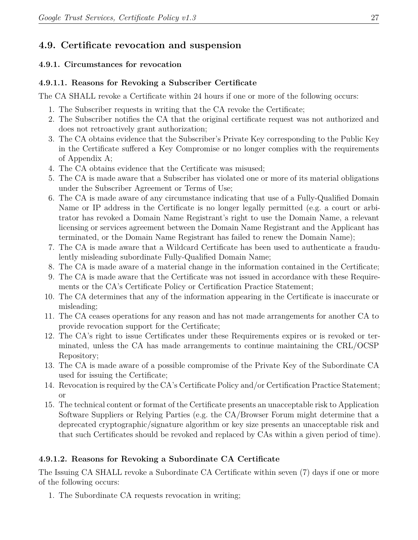# <span id="page-27-0"></span>**4.9. Certificate revocation and suspension**

#### <span id="page-27-1"></span>**4.9.1. Circumstances for revocation**

### <span id="page-27-2"></span>**4.9.1.1. Reasons for Revoking a Subscriber Certificate**

The CA SHALL revoke a Certificate within 24 hours if one or more of the following occurs:

- 1. The Subscriber requests in writing that the CA revoke the Certificate;
- 2. The Subscriber notifies the CA that the original certificate request was not authorized and does not retroactively grant authorization;
- 3. The CA obtains evidence that the Subscriber's Private Key corresponding to the Public Key in the Certificate suffered a Key Compromise or no longer complies with the requirements of Appendix A;
- 4. The CA obtains evidence that the Certificate was misused;
- 5. The CA is made aware that a Subscriber has violated one or more of its material obligations under the Subscriber Agreement or Terms of Use;
- 6. The CA is made aware of any circumstance indicating that use of a Fully-Qualified Domain Name or IP address in the Certificate is no longer legally permitted (e.g. a court or arbitrator has revoked a Domain Name Registrant's right to use the Domain Name, a relevant licensing or services agreement between the Domain Name Registrant and the Applicant has terminated, or the Domain Name Registrant has failed to renew the Domain Name);
- 7. The CA is made aware that a Wildcard Certificate has been used to authenticate a fraudulently misleading subordinate Fully-Qualified Domain Name;
- 8. The CA is made aware of a material change in the information contained in the Certificate;
- 9. The CA is made aware that the Certificate was not issued in accordance with these Requirements or the CA's Certificate Policy or Certification Practice Statement;
- 10. The CA determines that any of the information appearing in the Certificate is inaccurate or misleading;
- 11. The CA ceases operations for any reason and has not made arrangements for another CA to provide revocation support for the Certificate;
- 12. The CA's right to issue Certificates under these Requirements expires or is revoked or terminated, unless the CA has made arrangements to continue maintaining the CRL/OCSP Repository;
- 13. The CA is made aware of a possible compromise of the Private Key of the Subordinate CA used for issuing the Certificate;
- 14. Revocation is required by the CA's Certificate Policy and/or Certification Practice Statement; or
- 15. The technical content or format of the Certificate presents an unacceptable risk to Application Software Suppliers or Relying Parties (e.g. the CA/Browser Forum might determine that a deprecated cryptographic/signature algorithm or key size presents an unacceptable risk and that such Certificates should be revoked and replaced by CAs within a given period of time).

# <span id="page-27-3"></span>**4.9.1.2. Reasons for Revoking a Subordinate CA Certificate**

The Issuing CA SHALL revoke a Subordinate CA Certificate within seven (7) days if one or more of the following occurs:

1. The Subordinate CA requests revocation in writing;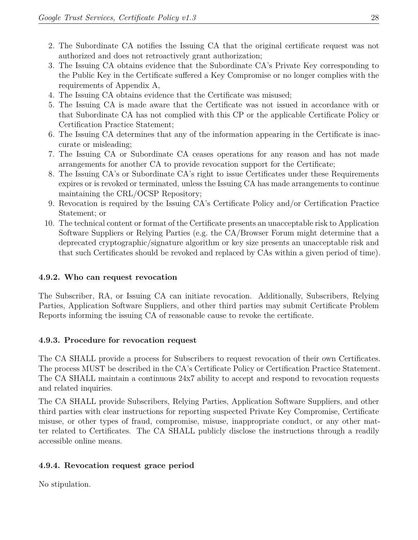- 2. The Subordinate CA notifies the Issuing CA that the original certificate request was not authorized and does not retroactively grant authorization;
- 3. The Issuing CA obtains evidence that the Subordinate CA's Private Key corresponding to the Public Key in the Certificate suffered a Key Compromise or no longer complies with the requirements of Appendix A,
- 4. The Issuing CA obtains evidence that the Certificate was misused;
- 5. The Issuing CA is made aware that the Certificate was not issued in accordance with or that Subordinate CA has not complied with this CP or the applicable Certificate Policy or Certification Practice Statement;
- 6. The Issuing CA determines that any of the information appearing in the Certificate is inaccurate or misleading;
- 7. The Issuing CA or Subordinate CA ceases operations for any reason and has not made arrangements for another CA to provide revocation support for the Certificate;
- 8. The Issuing CA's or Subordinate CA's right to issue Certificates under these Requirements expires or is revoked or terminated, unless the Issuing CA has made arrangements to continue maintaining the CRL/OCSP Repository;
- 9. Revocation is required by the Issuing CA's Certificate Policy and/or Certification Practice Statement; or
- 10. The technical content or format of the Certificate presents an unacceptable risk to Application Software Suppliers or Relying Parties (e.g. the CA/Browser Forum might determine that a deprecated cryptographic/signature algorithm or key size presents an unacceptable risk and that such Certificates should be revoked and replaced by CAs within a given period of time).

#### <span id="page-28-0"></span>**4.9.2. Who can request revocation**

The Subscriber, RA, or Issuing CA can initiate revocation. Additionally, Subscribers, Relying Parties, Application Software Suppliers, and other third parties may submit Certificate Problem Reports informing the issuing CA of reasonable cause to revoke the certificate.

#### <span id="page-28-1"></span>**4.9.3. Procedure for revocation request**

The CA SHALL provide a process for Subscribers to request revocation of their own Certificates. The process MUST be described in the CA's Certificate Policy or Certification Practice Statement. The CA SHALL maintain a continuous 24x7 ability to accept and respond to revocation requests and related inquiries.

The CA SHALL provide Subscribers, Relying Parties, Application Software Suppliers, and other third parties with clear instructions for reporting suspected Private Key Compromise, Certificate misuse, or other types of fraud, compromise, misuse, inappropriate conduct, or any other matter related to Certificates. The CA SHALL publicly disclose the instructions through a readily accessible online means.

#### <span id="page-28-2"></span>**4.9.4. Revocation request grace period**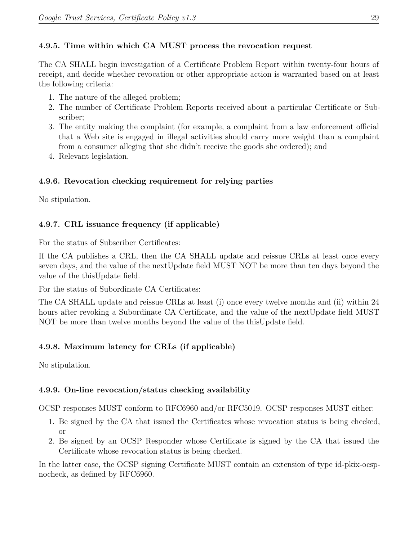#### <span id="page-29-0"></span>**4.9.5. Time within which CA MUST process the revocation request**

The CA SHALL begin investigation of a Certificate Problem Report within twenty-four hours of receipt, and decide whether revocation or other appropriate action is warranted based on at least the following criteria:

- 1. The nature of the alleged problem;
- 2. The number of Certificate Problem Reports received about a particular Certificate or Subscriber;
- 3. The entity making the complaint (for example, a complaint from a law enforcement official that a Web site is engaged in illegal activities should carry more weight than a complaint from a consumer alleging that she didn't receive the goods she ordered); and
- 4. Relevant legislation.

### <span id="page-29-1"></span>**4.9.6. Revocation checking requirement for relying parties**

No stipulation.

# <span id="page-29-2"></span>**4.9.7. CRL issuance frequency (if applicable)**

For the status of Subscriber Certificates:

If the CA publishes a CRL, then the CA SHALL update and reissue CRLs at least once every seven days, and the value of the nextUpdate field MUST NOT be more than ten days beyond the value of the thisUpdate field.

For the status of Subordinate CA Certificates:

The CA SHALL update and reissue CRLs at least (i) once every twelve months and (ii) within 24 hours after revoking a Subordinate CA Certificate, and the value of the nextUpdate field MUST NOT be more than twelve months beyond the value of the thisUpdate field.

# <span id="page-29-3"></span>**4.9.8. Maximum latency for CRLs (if applicable)**

No stipulation.

# <span id="page-29-4"></span>**4.9.9. On-line revocation/status checking availability**

OCSP responses MUST conform to RFC6960 and/or RFC5019. OCSP responses MUST either:

- 1. Be signed by the CA that issued the Certificates whose revocation status is being checked, or
- 2. Be signed by an OCSP Responder whose Certificate is signed by the CA that issued the Certificate whose revocation status is being checked.

In the latter case, the OCSP signing Certificate MUST contain an extension of type id-pkix-ocspnocheck, as defined by RFC6960.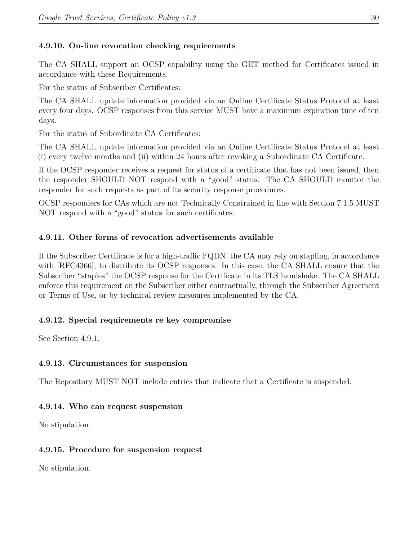# <span id="page-30-0"></span>**4.9.10. On-line revocation checking requirements**

The CA SHALL support an OCSP capability using the GET method for Certificates issued in accordance with these Requirements.

For the status of Subscriber Certificates:

The CA SHALL update information provided via an Online Certificate Status Protocol at least every four days. OCSP responses from this service MUST have a maximum expiration time of ten days.

For the status of Subordinate CA Certificates:

The CA SHALL update information provided via an Online Certificate Status Protocol at least (i) every twelve months and (ii) within 24 hours after revoking a Subordinate CA Certificate.

If the OCSP responder receives a request for status of a certificate that has not been issued, then the responder SHOULD NOT respond with a "good" status. The CA SHOULD monitor the responder for such requests as part of its security response procedures.

OCSP responders for CAs which are not Technically Constrained in line with Section 7.1.5 MUST NOT respond with a "good" status for such certificates.

# <span id="page-30-1"></span>**4.9.11. Other forms of revocation advertisements available**

If the Subscriber Certificate is for a high-traffic FQDN, the CA may rely on stapling, in accordance with [RFC4366], to distribute its OCSP responses. In this case, the CA SHALL ensure that the Subscriber "staples" the OCSP response for the Certificate in its TLS handshake. The CA SHALL enforce this requirement on the Subscriber either contractually, through the Subscriber Agreement or Terms of Use, or by technical review measures implemented by the CA.

# <span id="page-30-2"></span>**4.9.12. Special requirements re key compromise**

See Section 4.9.1.

# <span id="page-30-3"></span>**4.9.13. Circumstances for suspension**

The Repository MUST NOT include entries that indicate that a Certificate is suspended.

# <span id="page-30-4"></span>**4.9.14. Who can request suspension**

No stipulation.

# <span id="page-30-5"></span>**4.9.15. Procedure for suspension request**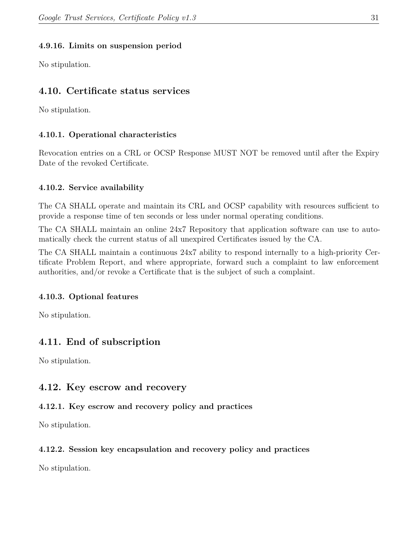#### <span id="page-31-0"></span>**4.9.16. Limits on suspension period**

No stipulation.

# <span id="page-31-1"></span>**4.10. Certificate status services**

No stipulation.

#### <span id="page-31-2"></span>**4.10.1. Operational characteristics**

Revocation entries on a CRL or OCSP Response MUST NOT be removed until after the Expiry Date of the revoked Certificate.

#### <span id="page-31-3"></span>**4.10.2. Service availability**

The CA SHALL operate and maintain its CRL and OCSP capability with resources sufficient to provide a response time of ten seconds or less under normal operating conditions.

The CA SHALL maintain an online 24x7 Repository that application software can use to automatically check the current status of all unexpired Certificates issued by the CA.

The CA SHALL maintain a continuous 24x7 ability to respond internally to a high-priority Certificate Problem Report, and where appropriate, forward such a complaint to law enforcement authorities, and/or revoke a Certificate that is the subject of such a complaint.

#### <span id="page-31-4"></span>**4.10.3. Optional features**

No stipulation.

# <span id="page-31-5"></span>**4.11. End of subscription**

No stipulation.

# <span id="page-31-6"></span>**4.12. Key escrow and recovery**

#### <span id="page-31-7"></span>**4.12.1. Key escrow and recovery policy and practices**

No stipulation.

#### <span id="page-31-8"></span>**4.12.2. Session key encapsulation and recovery policy and practices**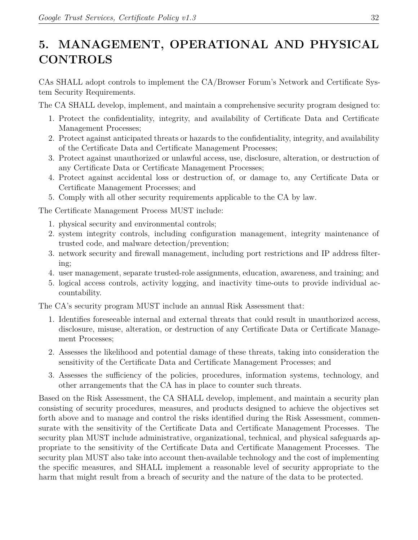# <span id="page-32-0"></span>**5. MANAGEMENT, OPERATIONAL AND PHYSICAL CONTROLS**

CAs SHALL adopt controls to implement the CA/Browser Forum's Network and Certificate System Security Requirements.

The CA SHALL develop, implement, and maintain a comprehensive security program designed to:

- 1. Protect the confidentiality, integrity, and availability of Certificate Data and Certificate Management Processes;
- 2. Protect against anticipated threats or hazards to the confidentiality, integrity, and availability of the Certificate Data and Certificate Management Processes;
- 3. Protect against unauthorized or unlawful access, use, disclosure, alteration, or destruction of any Certificate Data or Certificate Management Processes;
- 4. Protect against accidental loss or destruction of, or damage to, any Certificate Data or Certificate Management Processes; and
- 5. Comply with all other security requirements applicable to the CA by law.

The Certificate Management Process MUST include:

- 1. physical security and environmental controls;
- 2. system integrity controls, including configuration management, integrity maintenance of trusted code, and malware detection/prevention;
- 3. network security and firewall management, including port restrictions and IP address filtering;
- 4. user management, separate trusted-role assignments, education, awareness, and training; and
- 5. logical access controls, activity logging, and inactivity time-outs to provide individual accountability.

The CA's security program MUST include an annual Risk Assessment that:

- 1. Identifies foreseeable internal and external threats that could result in unauthorized access, disclosure, misuse, alteration, or destruction of any Certificate Data or Certificate Management Processes;
- 2. Assesses the likelihood and potential damage of these threats, taking into consideration the sensitivity of the Certificate Data and Certificate Management Processes; and
- 3. Assesses the sufficiency of the policies, procedures, information systems, technology, and other arrangements that the CA has in place to counter such threats.

Based on the Risk Assessment, the CA SHALL develop, implement, and maintain a security plan consisting of security procedures, measures, and products designed to achieve the objectives set forth above and to manage and control the risks identified during the Risk Assessment, commensurate with the sensitivity of the Certificate Data and Certificate Management Processes. The security plan MUST include administrative, organizational, technical, and physical safeguards appropriate to the sensitivity of the Certificate Data and Certificate Management Processes. The security plan MUST also take into account then-available technology and the cost of implementing the specific measures, and SHALL implement a reasonable level of security appropriate to the harm that might result from a breach of security and the nature of the data to be protected.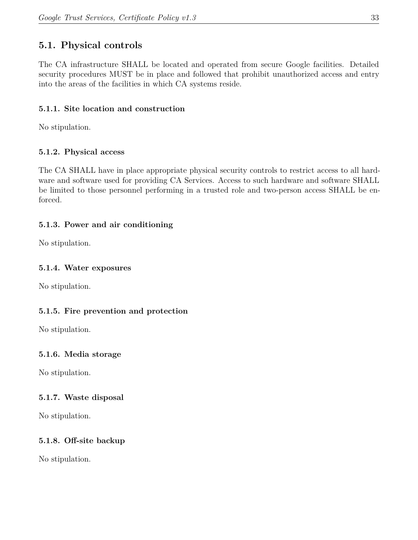# <span id="page-33-0"></span>**5.1. Physical controls**

The CA infrastructure SHALL be located and operated from secure Google facilities. Detailed security procedures MUST be in place and followed that prohibit unauthorized access and entry into the areas of the facilities in which CA systems reside.

### <span id="page-33-1"></span>**5.1.1. Site location and construction**

No stipulation.

# <span id="page-33-2"></span>**5.1.2. Physical access**

The CA SHALL have in place appropriate physical security controls to restrict access to all hardware and software used for providing CA Services. Access to such hardware and software SHALL be limited to those personnel performing in a trusted role and two-person access SHALL be enforced.

### <span id="page-33-3"></span>**5.1.3. Power and air conditioning**

No stipulation.

#### <span id="page-33-4"></span>**5.1.4. Water exposures**

No stipulation.

# <span id="page-33-5"></span>**5.1.5. Fire prevention and protection**

No stipulation.

#### <span id="page-33-6"></span>**5.1.6. Media storage**

No stipulation.

#### <span id="page-33-7"></span>**5.1.7. Waste disposal**

No stipulation.

# <span id="page-33-8"></span>**5.1.8. Off-site backup**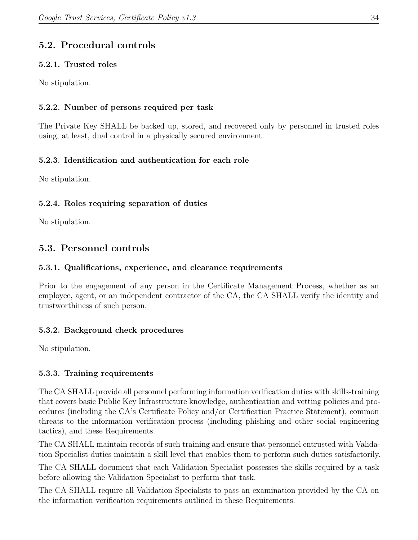# <span id="page-34-0"></span>**5.2. Procedural controls**

### <span id="page-34-1"></span>**5.2.1. Trusted roles**

No stipulation.

# <span id="page-34-2"></span>**5.2.2. Number of persons required per task**

The Private Key SHALL be backed up, stored, and recovered only by personnel in trusted roles using, at least, dual control in a physically secured environment.

# <span id="page-34-3"></span>**5.2.3. Identification and authentication for each role**

No stipulation.

### <span id="page-34-4"></span>**5.2.4. Roles requiring separation of duties**

No stipulation.

# <span id="page-34-5"></span>**5.3. Personnel controls**

#### <span id="page-34-6"></span>**5.3.1. Qualifications, experience, and clearance requirements**

Prior to the engagement of any person in the Certificate Management Process, whether as an employee, agent, or an independent contractor of the CA, the CA SHALL verify the identity and trustworthiness of such person.

# <span id="page-34-7"></span>**5.3.2. Background check procedures**

No stipulation.

# <span id="page-34-8"></span>**5.3.3. Training requirements**

The CA SHALL provide all personnel performing information verification duties with skills-training that covers basic Public Key Infrastructure knowledge, authentication and vetting policies and procedures (including the CA's Certificate Policy and/or Certification Practice Statement), common threats to the information verification process (including phishing and other social engineering tactics), and these Requirements.

The CA SHALL maintain records of such training and ensure that personnel entrusted with Validation Specialist duties maintain a skill level that enables them to perform such duties satisfactorily.

The CA SHALL document that each Validation Specialist possesses the skills required by a task before allowing the Validation Specialist to perform that task.

The CA SHALL require all Validation Specialists to pass an examination provided by the CA on the information verification requirements outlined in these Requirements.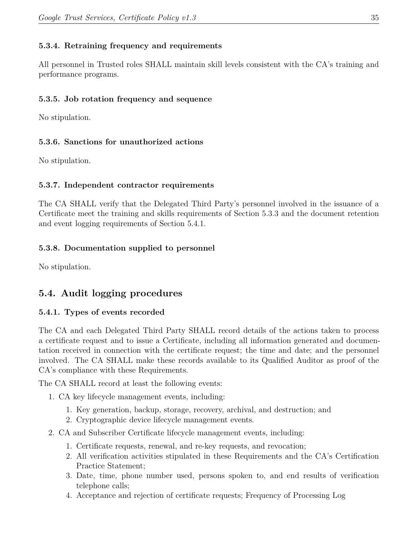#### <span id="page-35-0"></span>**5.3.4. Retraining frequency and requirements**

All personnel in Trusted roles SHALL maintain skill levels consistent with the CA's training and performance programs.

#### <span id="page-35-1"></span>**5.3.5. Job rotation frequency and sequence**

No stipulation.

#### <span id="page-35-2"></span>**5.3.6. Sanctions for unauthorized actions**

No stipulation.

#### <span id="page-35-3"></span>**5.3.7. Independent contractor requirements**

The CA SHALL verify that the Delegated Third Party's personnel involved in the issuance of a Certificate meet the training and skills requirements of Section 5.3.3 and the document retention and event logging requirements of Section 5.4.1.

#### <span id="page-35-4"></span>**5.3.8. Documentation supplied to personnel**

No stipulation.

# <span id="page-35-5"></span>**5.4. Audit logging procedures**

#### <span id="page-35-6"></span>**5.4.1. Types of events recorded**

The CA and each Delegated Third Party SHALL record details of the actions taken to process a certificate request and to issue a Certificate, including all information generated and documentation received in connection with the certificate request; the time and date; and the personnel involved. The CA SHALL make these records available to its Qualified Auditor as proof of the CA's compliance with these Requirements.

The CA SHALL record at least the following events:

- 1. CA key lifecycle management events, including:
	- 1. Key generation, backup, storage, recovery, archival, and destruction; and
	- 2. Cryptographic device lifecycle management events.
- 2. CA and Subscriber Certificate lifecycle management events, including:
	- 1. Certificate requests, renewal, and re-key requests, and revocation;
	- 2. All verification activities stipulated in these Requirements and the CA's Certification Practice Statement;
	- 3. Date, time, phone number used, persons spoken to, and end results of verification telephone calls;
	- 4. Acceptance and rejection of certificate requests; Frequency of Processing Log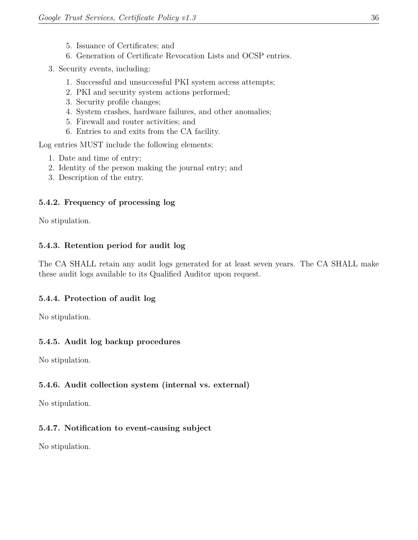- 5. Issuance of Certificates; and
- 6. Generation of Certificate Revocation Lists and OCSP entries.
- 3. Security events, including:
	- 1. Successful and unsuccessful PKI system access attempts;
	- 2. PKI and security system actions performed;
	- 3. Security profile changes;
	- 4. System crashes, hardware failures, and other anomalies;
	- 5. Firewall and router activities; and
	- 6. Entries to and exits from the CA facility.

Log entries MUST include the following elements:

- 1. Date and time of entry;
- 2. Identity of the person making the journal entry; and
- 3. Description of the entry.

#### **5.4.2. Frequency of processing log**

No stipulation.

#### **5.4.3. Retention period for audit log**

The CA SHALL retain any audit logs generated for at least seven years. The CA SHALL make these audit logs available to its Qualified Auditor upon request.

#### **5.4.4. Protection of audit log**

No stipulation.

#### **5.4.5. Audit log backup procedures**

No stipulation.

#### **5.4.6. Audit collection system (internal vs. external)**

No stipulation.

#### **5.4.7. Notification to event-causing subject**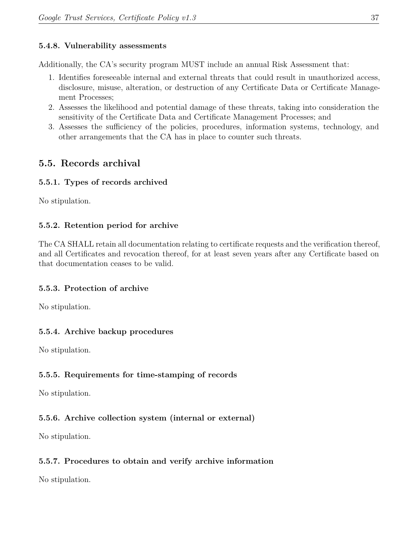#### **5.4.8. Vulnerability assessments**

Additionally, the CA's security program MUST include an annual Risk Assessment that:

- 1. Identifies foreseeable internal and external threats that could result in unauthorized access, disclosure, misuse, alteration, or destruction of any Certificate Data or Certificate Management Processes;
- 2. Assesses the likelihood and potential damage of these threats, taking into consideration the sensitivity of the Certificate Data and Certificate Management Processes; and
- 3. Assesses the sufficiency of the policies, procedures, information systems, technology, and other arrangements that the CA has in place to counter such threats.

# **5.5. Records archival**

## **5.5.1. Types of records archived**

No stipulation.

#### **5.5.2. Retention period for archive**

The CA SHALL retain all documentation relating to certificate requests and the verification thereof, and all Certificates and revocation thereof, for at least seven years after any Certificate based on that documentation ceases to be valid.

## **5.5.3. Protection of archive**

No stipulation.

## **5.5.4. Archive backup procedures**

No stipulation.

## **5.5.5. Requirements for time-stamping of records**

No stipulation.

## **5.5.6. Archive collection system (internal or external)**

No stipulation.

## **5.5.7. Procedures to obtain and verify archive information**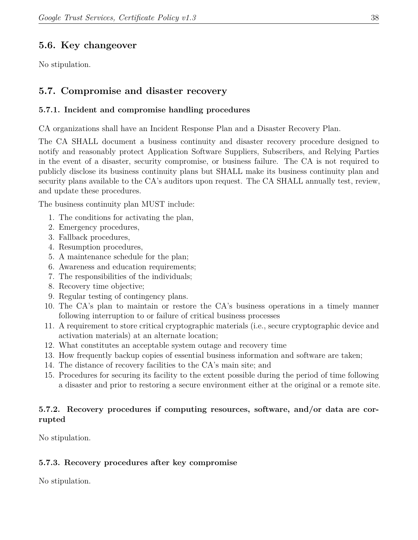## **5.6. Key changeover**

No stipulation.

## **5.7. Compromise and disaster recovery**

#### **5.7.1. Incident and compromise handling procedures**

CA organizations shall have an Incident Response Plan and a Disaster Recovery Plan.

The CA SHALL document a business continuity and disaster recovery procedure designed to notify and reasonably protect Application Software Suppliers, Subscribers, and Relying Parties in the event of a disaster, security compromise, or business failure. The CA is not required to publicly disclose its business continuity plans but SHALL make its business continuity plan and security plans available to the CA's auditors upon request. The CA SHALL annually test, review, and update these procedures.

The business continuity plan MUST include:

- 1. The conditions for activating the plan,
- 2. Emergency procedures,
- 3. Fallback procedures,
- 4. Resumption procedures,
- 5. A maintenance schedule for the plan;
- 6. Awareness and education requirements;
- 7. The responsibilities of the individuals;
- 8. Recovery time objective;
- 9. Regular testing of contingency plans.
- 10. The CA's plan to maintain or restore the CA's business operations in a timely manner following interruption to or failure of critical business processes
- 11. A requirement to store critical cryptographic materials (i.e., secure cryptographic device and activation materials) at an alternate location;
- 12. What constitutes an acceptable system outage and recovery time
- 13. How frequently backup copies of essential business information and software are taken;
- 14. The distance of recovery facilities to the CA's main site; and
- 15. Procedures for securing its facility to the extent possible during the period of time following a disaster and prior to restoring a secure environment either at the original or a remote site.

#### **5.7.2. Recovery procedures if computing resources, software, and/or data are corrupted**

No stipulation.

#### **5.7.3. Recovery procedures after key compromise**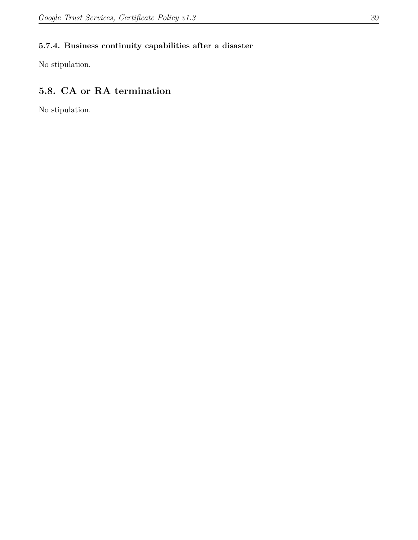## **5.7.4. Business continuity capabilities after a disaster**

No stipulation.

# **5.8. CA or RA termination**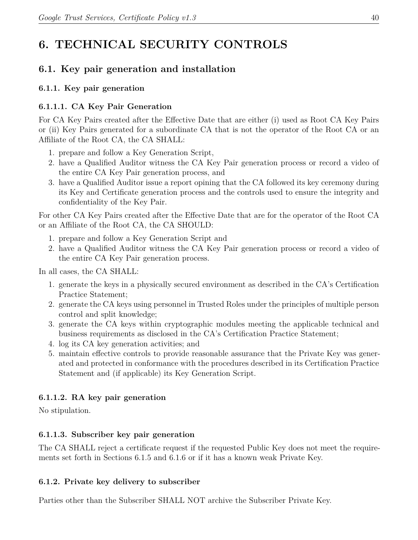# **6. TECHNICAL SECURITY CONTROLS**

# **6.1. Key pair generation and installation**

## **6.1.1. Key pair generation**

## **6.1.1.1. CA Key Pair Generation**

For CA Key Pairs created after the Effective Date that are either (i) used as Root CA Key Pairs or (ii) Key Pairs generated for a subordinate CA that is not the operator of the Root CA or an Affiliate of the Root CA, the CA SHALL:

- 1. prepare and follow a Key Generation Script,
- 2. have a Qualified Auditor witness the CA Key Pair generation process or record a video of the entire CA Key Pair generation process, and
- 3. have a Qualified Auditor issue a report opining that the CA followed its key ceremony during its Key and Certificate generation process and the controls used to ensure the integrity and confidentiality of the Key Pair.

For other CA Key Pairs created after the Effective Date that are for the operator of the Root CA or an Affiliate of the Root CA, the CA SHOULD:

- 1. prepare and follow a Key Generation Script and
- 2. have a Qualified Auditor witness the CA Key Pair generation process or record a video of the entire CA Key Pair generation process.

In all cases, the CA SHALL:

- 1. generate the keys in a physically secured environment as described in the CA's Certification Practice Statement;
- 2. generate the CA keys using personnel in Trusted Roles under the principles of multiple person control and split knowledge;
- 3. generate the CA keys within cryptographic modules meeting the applicable technical and business requirements as disclosed in the CA's Certification Practice Statement;
- 4. log its CA key generation activities; and
- 5. maintain effective controls to provide reasonable assurance that the Private Key was generated and protected in conformance with the procedures described in its Certification Practice Statement and (if applicable) its Key Generation Script.

## **6.1.1.2. RA key pair generation**

No stipulation.

## **6.1.1.3. Subscriber key pair generation**

The CA SHALL reject a certificate request if the requested Public Key does not meet the requirements set forth in Sections 6.1.5 and 6.1.6 or if it has a known weak Private Key.

## **6.1.2. Private key delivery to subscriber**

Parties other than the Subscriber SHALL NOT archive the Subscriber Private Key.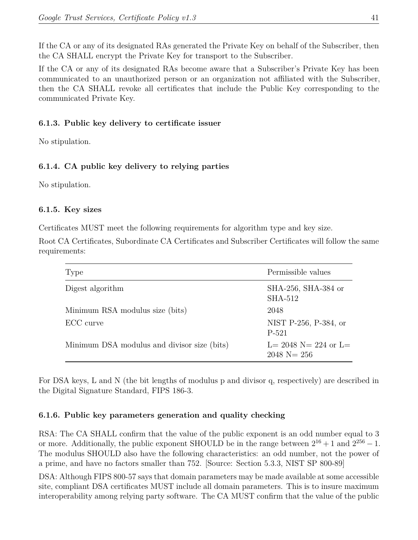If the CA or any of its designated RAs generated the Private Key on behalf of the Subscriber, then the CA SHALL encrypt the Private Key for transport to the Subscriber.

If the CA or any of its designated RAs become aware that a Subscriber's Private Key has been communicated to an unauthorized person or an organization not affiliated with the Subscriber, then the CA SHALL revoke all certificates that include the Public Key corresponding to the communicated Private Key.

#### **6.1.3. Public key delivery to certificate issuer**

No stipulation.

#### **6.1.4. CA public key delivery to relying parties**

No stipulation.

#### **6.1.5. Key sizes**

Certificates MUST meet the following requirements for algorithm type and key size.

Root CA Certificates, Subordinate CA Certificates and Subscriber Certificates will follow the same requirements:

| Type                                        | Permissible values                             |
|---------------------------------------------|------------------------------------------------|
| Digest algorithm                            | SHA-256, SHA-384 or<br><b>SHA-512</b>          |
| Minimum RSA modulus size (bits)             | 2048                                           |
| ECC curve                                   | NIST P-256, P-384, or<br>P-521                 |
| Minimum DSA modulus and divisor size (bits) | L= 2048 N= 224 or L=<br>$2048 \text{ N} = 256$ |

For DSA keys, L and N (the bit lengths of modulus p and divisor q, respectively) are described in the Digital Signature Standard, FIPS 186-3.

#### **6.1.6. Public key parameters generation and quality checking**

RSA: The CA SHALL confirm that the value of the public exponent is an odd number equal to 3 or more. Additionally, the public exponent SHOULD be in the range between  $2^{16} + 1$  and  $2^{256} - 1$ . The modulus SHOULD also have the following characteristics: an odd number, not the power of a prime, and have no factors smaller than 752. [Source: Section 5.3.3, NIST SP 800-89]

DSA: Although FIPS 800-57 says that domain parameters may be made available at some accessible site, compliant DSA certificates MUST include all domain parameters. This is to insure maximum interoperability among relying party software. The CA MUST confirm that the value of the public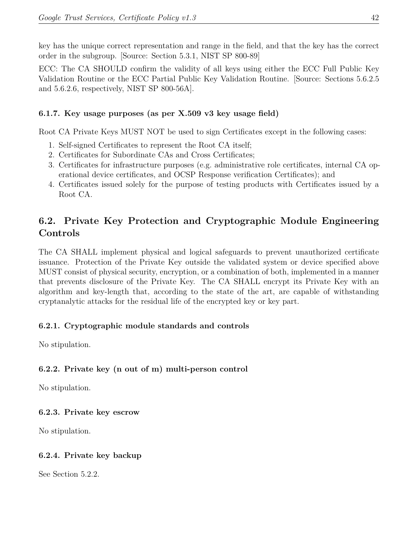key has the unique correct representation and range in the field, and that the key has the correct order in the subgroup. [Source: Section 5.3.1, NIST SP 800-89]

ECC: The CA SHOULD confirm the validity of all keys using either the ECC Full Public Key Validation Routine or the ECC Partial Public Key Validation Routine. [Source: Sections 5.6.2.5 and 5.6.2.6, respectively, NIST SP 800-56A].

#### **6.1.7. Key usage purposes (as per X.509 v3 key usage field)**

Root CA Private Keys MUST NOT be used to sign Certificates except in the following cases:

- 1. Self-signed Certificates to represent the Root CA itself;
- 2. Certificates for Subordinate CAs and Cross Certificates;
- 3. Certificates for infrastructure purposes (e.g. administrative role certificates, internal CA operational device certificates, and OCSP Response verification Certificates); and
- 4. Certificates issued solely for the purpose of testing products with Certificates issued by a Root CA.

# **6.2. Private Key Protection and Cryptographic Module Engineering Controls**

The CA SHALL implement physical and logical safeguards to prevent unauthorized certificate issuance. Protection of the Private Key outside the validated system or device specified above MUST consist of physical security, encryption, or a combination of both, implemented in a manner that prevents disclosure of the Private Key. The CA SHALL encrypt its Private Key with an algorithm and key-length that, according to the state of the art, are capable of withstanding cryptanalytic attacks for the residual life of the encrypted key or key part.

## **6.2.1. Cryptographic module standards and controls**

No stipulation.

## **6.2.2. Private key (n out of m) multi-person control**

No stipulation.

#### **6.2.3. Private key escrow**

No stipulation.

## **6.2.4. Private key backup**

See Section 5.2.2.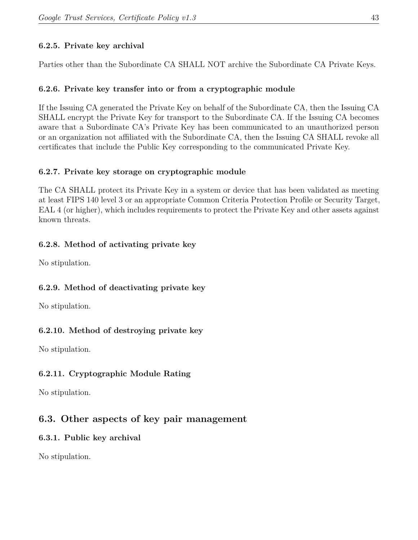## **6.2.5. Private key archival**

Parties other than the Subordinate CA SHALL NOT archive the Subordinate CA Private Keys.

#### **6.2.6. Private key transfer into or from a cryptographic module**

If the Issuing CA generated the Private Key on behalf of the Subordinate CA, then the Issuing CA SHALL encrypt the Private Key for transport to the Subordinate CA. If the Issuing CA becomes aware that a Subordinate CA's Private Key has been communicated to an unauthorized person or an organization not affiliated with the Subordinate CA, then the Issuing CA SHALL revoke all certificates that include the Public Key corresponding to the communicated Private Key.

#### **6.2.7. Private key storage on cryptographic module**

The CA SHALL protect its Private Key in a system or device that has been validated as meeting at least FIPS 140 level 3 or an appropriate Common Criteria Protection Profile or Security Target, EAL 4 (or higher), which includes requirements to protect the Private Key and other assets against known threats.

#### **6.2.8. Method of activating private key**

No stipulation.

## **6.2.9. Method of deactivating private key**

No stipulation.

## **6.2.10. Method of destroying private key**

No stipulation.

## **6.2.11. Cryptographic Module Rating**

No stipulation.

## **6.3. Other aspects of key pair management**

#### **6.3.1. Public key archival**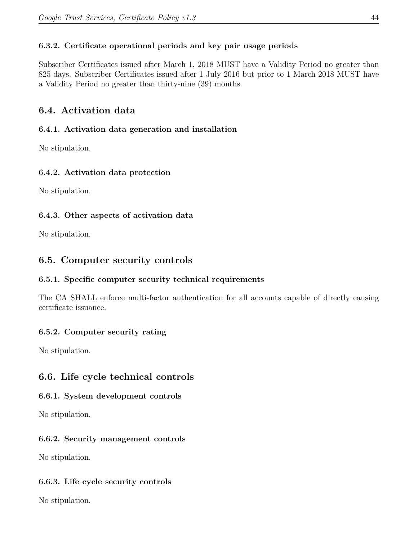## **6.3.2. Certificate operational periods and key pair usage periods**

Subscriber Certificates issued after March 1, 2018 MUST have a Validity Period no greater than 825 days. Subscriber Certificates issued after 1 July 2016 but prior to 1 March 2018 MUST have a Validity Period no greater than thirty-nine (39) months.

## **6.4. Activation data**

## **6.4.1. Activation data generation and installation**

No stipulation.

## **6.4.2. Activation data protection**

No stipulation.

## **6.4.3. Other aspects of activation data**

No stipulation.

# **6.5. Computer security controls**

## **6.5.1. Specific computer security technical requirements**

The CA SHALL enforce multi-factor authentication for all accounts capable of directly causing certificate issuance.

## **6.5.2. Computer security rating**

No stipulation.

# **6.6. Life cycle technical controls**

## **6.6.1. System development controls**

No stipulation.

## **6.6.2. Security management controls**

No stipulation.

## **6.6.3. Life cycle security controls**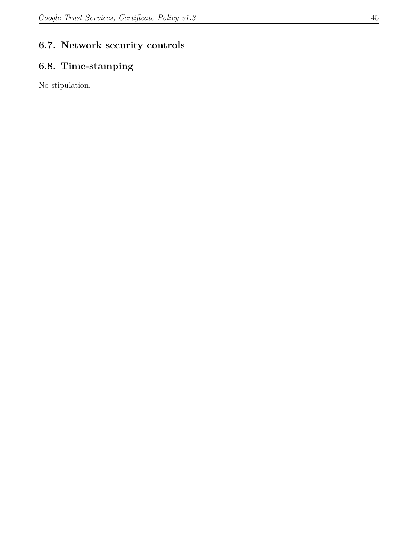# **6.7. Network security controls**

# **6.8. Time-stamping**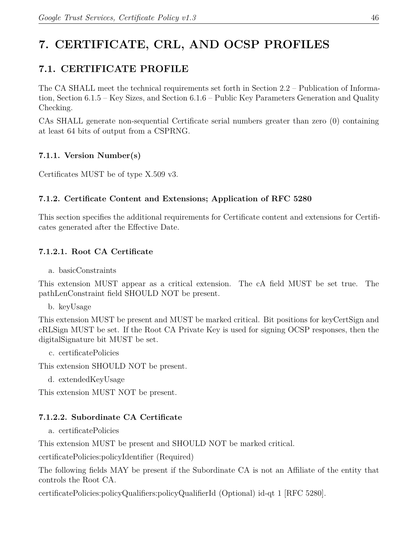# **7. CERTIFICATE, CRL, AND OCSP PROFILES**

# **7.1. CERTIFICATE PROFILE**

The CA SHALL meet the technical requirements set forth in Section 2.2 – Publication of Information, Section 6.1.5 – Key Sizes, and Section 6.1.6 – Public Key Parameters Generation and Quality Checking.

CAs SHALL generate non‐sequential Certificate serial numbers greater than zero (0) containing at least 64 bits of output from a CSPRNG.

## **7.1.1. Version Number(s)**

Certificates MUST be of type X.509 v3.

#### **7.1.2. Certificate Content and Extensions; Application of RFC 5280**

This section specifies the additional requirements for Certificate content and extensions for Certificates generated after the Effective Date.

#### **7.1.2.1. Root CA Certificate**

a. basicConstraints

This extension MUST appear as a critical extension. The cA field MUST be set true. The pathLenConstraint field SHOULD NOT be present.

b. keyUsage

This extension MUST be present and MUST be marked critical. Bit positions for keyCertSign and cRLSign MUST be set. If the Root CA Private Key is used for signing OCSP responses, then the digitalSignature bit MUST be set.

c. certificatePolicies

This extension SHOULD NOT be present.

d. extendedKeyUsage

This extension MUST NOT be present.

#### **7.1.2.2. Subordinate CA Certificate**

a. certificatePolicies

This extension MUST be present and SHOULD NOT be marked critical.

certificatePolicies:policyIdentifier (Required)

The following fields MAY be present if the Subordinate CA is not an Affiliate of the entity that controls the Root CA.

certificatePolicies:policyQualifiers:policyQualifierId (Optional) id‐qt 1 [RFC 5280].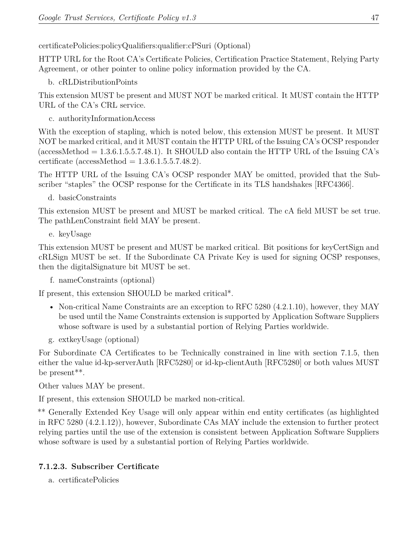certificatePolicies:policyQualifiers:qualifier:cPSuri (Optional)

HTTP URL for the Root CA's Certificate Policies, Certification Practice Statement, Relying Party Agreement, or other pointer to online policy information provided by the CA.

b. cRLDistributionPoints

This extension MUST be present and MUST NOT be marked critical. It MUST contain the HTTP URL of the CA's CRL service.

c. authorityInformationAccess

With the exception of stapling, which is noted below, this extension MUST be present. It MUST NOT be marked critical, and it MUST contain the HTTP URL of the Issuing CA's OCSP responder (accessMethod  $= 1.3.6.1.5.5.7.48.1$ ). It SHOULD also contain the HTTP URL of the Issuing CA's certificate (accessMethod  $= 1.3.6.1.5.5.7.48.2$ ).

The HTTP URL of the Issuing CA's OCSP responder MAY be omitted, provided that the Subscriber "staples" the OCSP response for the Certificate in its TLS handshakes [RFC4366].

d. basicConstraints

This extension MUST be present and MUST be marked critical. The cA field MUST be set true. The pathLenConstraint field MAY be present.

e. keyUsage

This extension MUST be present and MUST be marked critical. Bit positions for keyCertSign and cRLSign MUST be set. If the Subordinate CA Private Key is used for signing OCSP responses, then the digitalSignature bit MUST be set.

f. nameConstraints (optional)

If present, this extension SHOULD be marked critical\*.

- Non-critical Name Constraints are an exception to RFC 5280 (4.2.1.10), however, they MAY be used until the Name Constraints extension is supported by Application Software Suppliers whose software is used by a substantial portion of Relying Parties worldwide.
- g. extkeyUsage (optional)

For Subordinate CA Certificates to be Technically constrained in line with section 7.1.5, then either the value id-kp-serverAuth [RFC5280] or id-kp-clientAuth [RFC5280] or both values MUST be present\*\*.

Other values MAY be present.

If present, this extension SHOULD be marked non‐critical.

\*\* Generally Extended Key Usage will only appear within end entity certificates (as highlighted in RFC 5280 (4.2.1.12)), however, Subordinate CAs MAY include the extension to further protect relying parties until the use of the extension is consistent between Application Software Suppliers whose software is used by a substantial portion of Relying Parties worldwide.

# **7.1.2.3. Subscriber Certificate**

a. certificatePolicies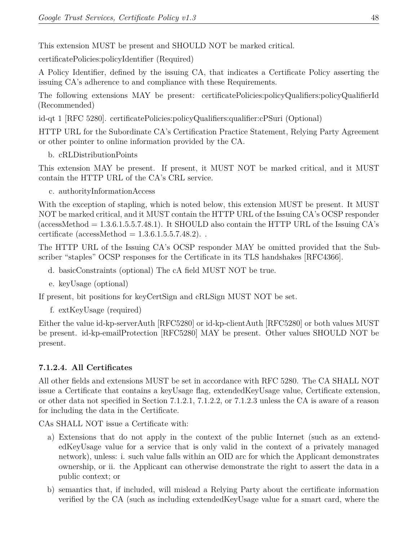This extension MUST be present and SHOULD NOT be marked critical.

certificatePolicies:policyIdentifier (Required)

A Policy Identifier, defined by the issuing CA, that indicates a Certificate Policy asserting the issuing CA's adherence to and compliance with these Requirements.

The following extensions MAY be present: certificatePolicies:policyQualifiers:policyQualifierId (Recommended)

id‐qt 1 [RFC 5280]. certificatePolicies:policyQualifiers:qualifier:cPSuri (Optional)

HTTP URL for the Subordinate CA's Certification Practice Statement, Relying Party Agreement or other pointer to online information provided by the CA.

b. cRLDistributionPoints

This extension MAY be present. If present, it MUST NOT be marked critical, and it MUST contain the HTTP URL of the CA's CRL service.

c. authorityInformationAccess

With the exception of stapling, which is noted below, this extension MUST be present. It MUST NOT be marked critical, and it MUST contain the HTTP URL of the Issuing CA's OCSP responder (accessMethod  $= 1.3.6.1.5.5.7.48.1$ ). It SHOULD also contain the HTTP URL of the Issuing CA's certificate (accessMethod  $= 1.3.6.1.5.5.7.48.2$ ).

The HTTP URL of the Issuing CA's OCSP responder MAY be omitted provided that the Subscriber "staples" OCSP responses for the Certificate in its TLS handshakes [RFC4366].

- d. basicConstraints (optional) The cA field MUST NOT be true.
- e. keyUsage (optional)

If present, bit positions for keyCertSign and cRLSign MUST NOT be set.

f. extKeyUsage (required)

Either the value id‐kp‐serverAuth [RFC5280] or id‐kp‐clientAuth [RFC5280] or both values MUST be present. id-kp-emailProtection [RFC5280] MAY be present. Other values SHOULD NOT be present.

#### **7.1.2.4. All Certificates**

All other fields and extensions MUST be set in accordance with RFC 5280. The CA SHALL NOT issue a Certificate that contains a keyUsage flag, extendedKeyUsage value, Certificate extension, or other data not specified in Section 7.1.2.1, 7.1.2.2, or 7.1.2.3 unless the CA is aware of a reason for including the data in the Certificate.

CAs SHALL NOT issue a Certificate with:

- a) Extensions that do not apply in the context of the public Internet (such as an extendedKeyUsage value for a service that is only valid in the context of a privately managed network), unless: i. such value falls within an OID arc for which the Applicant demonstrates ownership, or ii. the Applicant can otherwise demonstrate the right to assert the data in a public context; or
- b) semantics that, if included, will mislead a Relying Party about the certificate information verified by the CA (such as including extendedKeyUsage value for a smart card, where the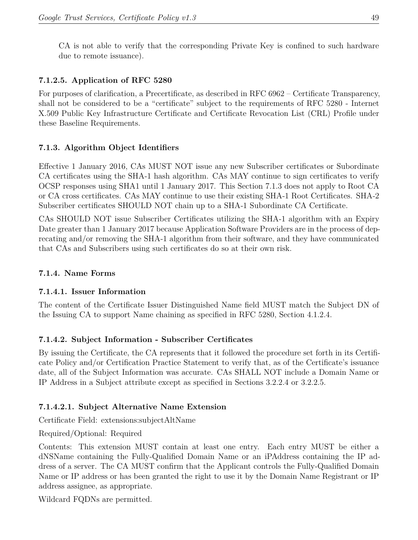CA is not able to verify that the corresponding Private Key is confined to such hardware due to remote issuance).

#### **7.1.2.5. Application of RFC 5280**

For purposes of clarification, a Precertificate, as described in RFC 6962 – Certificate Transparency, shall not be considered to be a "certificate" subject to the requirements of RFC 5280 ‐ Internet X.509 Public Key Infrastructure Certificate and Certificate Revocation List (CRL) Profile under these Baseline Requirements.

#### **7.1.3. Algorithm Object Identifiers**

Effective 1 January 2016, CAs MUST NOT issue any new Subscriber certificates or Subordinate CA certificates using the SHA-1 hash algorithm. CAs MAY continue to sign certificates to verify OCSP responses using SHA1 until 1 January 2017. This Section 7.1.3 does not apply to Root CA or CA cross certificates. CAs MAY continue to use their existing SHA‐1 Root Certificates. SHA‐2 Subscriber certificates SHOULD NOT chain up to a SHA‐1 Subordinate CA Certificate.

CAs SHOULD NOT issue Subscriber Certificates utilizing the SHA‐1 algorithm with an Expiry Date greater than 1 January 2017 because Application Software Providers are in the process of deprecating and/or removing the SHA‐1 algorithm from their software, and they have communicated that CAs and Subscribers using such certificates do so at their own risk.

#### **7.1.4. Name Forms**

#### **7.1.4.1. Issuer Information**

The content of the Certificate Issuer Distinguished Name field MUST match the Subject DN of the Issuing CA to support Name chaining as specified in RFC 5280, Section 4.1.2.4.

#### **7.1.4.2. Subject Information - Subscriber Certificates**

By issuing the Certificate, the CA represents that it followed the procedure set forth in its Certificate Policy and/or Certification Practice Statement to verify that, as of the Certificate's issuance date, all of the Subject Information was accurate. CAs SHALL NOT include a Domain Name or IP Address in a Subject attribute except as specified in Sections 3.2.2.4 or 3.2.2.5.

#### **7.1.4.2.1. Subject Alternative Name Extension**

Certificate Field: extensions:subjectAltName

#### Required/Optional: Required

Contents: This extension MUST contain at least one entry. Each entry MUST be either a dNSName containing the Fully‐Qualified Domain Name or an iPAddress containing the IP address of a server. The CA MUST confirm that the Applicant controls the Fully‐Qualified Domain Name or IP address or has been granted the right to use it by the Domain Name Registrant or IP address assignee, as appropriate.

Wildcard FQDNs are permitted.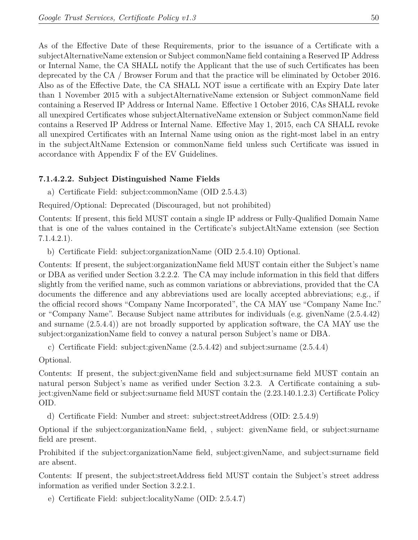As of the Effective Date of these Requirements, prior to the issuance of a Certificate with a subjectAlternativeName extension or Subject commonName field containing a Reserved IP Address or Internal Name, the CA SHALL notify the Applicant that the use of such Certificates has been deprecated by the CA / Browser Forum and that the practice will be eliminated by October 2016. Also as of the Effective Date, the CA SHALL NOT issue a certificate with an Expiry Date later than 1 November 2015 with a subjectAlternativeName extension or Subject commonName field containing a Reserved IP Address or Internal Name. Effective 1 October 2016, CAs SHALL revoke all unexpired Certificates whose subjectAlternativeName extension or Subject commonName field contains a Reserved IP Address or Internal Name. Effective May 1, 2015, each CA SHALL revoke all unexpired Certificates with an Internal Name using onion as the right‐most label in an entry in the subjectAltName Extension or commonName field unless such Certificate was issued in accordance with Appendix F of the EV Guidelines.

#### **7.1.4.2.2. Subject Distinguished Name Fields**

a) Certificate Field: subject:commonName (OID 2.5.4.3)

Required/Optional: Deprecated (Discouraged, but not prohibited)

Contents: If present, this field MUST contain a single IP address or Fully‐Qualified Domain Name that is one of the values contained in the Certificate's subjectAltName extension (see Section 7.1.4.2.1).

b) Certificate Field: subject:organizationName (OID 2.5.4.10) Optional.

Contents: If present, the subject:organizationName field MUST contain either the Subject's name or DBA as verified under Section 3.2.2.2. The CA may include information in this field that differs slightly from the verified name, such as common variations or abbreviations, provided that the CA documents the difference and any abbreviations used are locally accepted abbreviations; e.g., if the official record shows "Company Name Incorporated", the CA MAY use "Company Name Inc." or "Company Name". Because Subject name attributes for individuals (e.g. givenName (2.5.4.42) and surname (2.5.4.4)) are not broadly supported by application software, the CA MAY use the subject:organizationName field to convey a natural person Subject's name or DBA.

c) Certificate Field: subject:givenName (2.5.4.42) and subject:surname (2.5.4.4)

Optional.

Contents: If present, the subject:givenName field and subject:surname field MUST contain an natural person Subject's name as verified under Section 3.2.3. A Certificate containing a subject:givenName field or subject:surname field MUST contain the (2.23.140.1.2.3) Certificate Policy OID.

d) Certificate Field: Number and street: subject:streetAddress (OID: 2.5.4.9)

Optional if the subject:organizationName field, , subject: givenName field, or subject:surname field are present.

Prohibited if the subject:organizationName field, subject:givenName, and subject:surname field are absent.

Contents: If present, the subject:streetAddress field MUST contain the Subject's street address information as verified under Section 3.2.2.1.

e) Certificate Field: subject:localityName (OID: 2.5.4.7)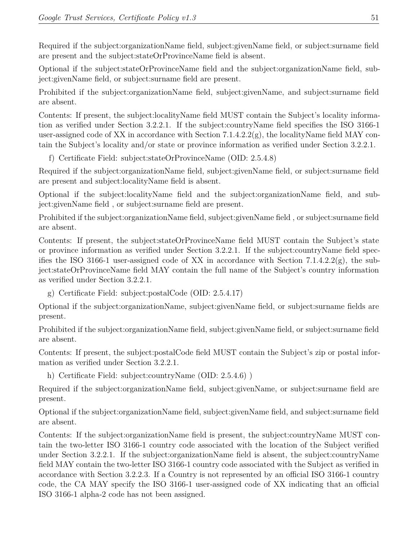Required if the subject:organizationName field, subject:givenName field, or subject:surname field are present and the subject:stateOrProvinceName field is absent.

Optional if the subject:stateOrProvinceName field and the subject:organizationName field, subject:givenName field, or subject:surname field are present.

Prohibited if the subject:organizationName field, subject:givenName, and subject:surname field are absent.

Contents: If present, the subject:localityName field MUST contain the Subject's locality information as verified under Section 3.2.2.1. If the subject:countryName field specifies the ISO 3166‐1 user-assigned code of XX in accordance with Section 7.1.4.2.2(g), the localityName field MAY contain the Subject's locality and/or state or province information as verified under Section 3.2.2.1.

f) Certificate Field: subject:stateOrProvinceName (OID: 2.5.4.8)

Required if the subject:organizationName field, subject:givenName field, or subject:surname field are present and subject:localityName field is absent.

Optional if the subject:localityName field and the subject:organizationName field, and subject:givenName field , or subject:surname field are present.

Prohibited if the subject:organizationName field, subject:givenName field , or subject:surname field are absent.

Contents: If present, the subject:stateOrProvinceName field MUST contain the Subject's state or province information as verified under Section 3.2.2.1. If the subject:countryName field specifies the ISO 3166-1 user-assigned code of XX in accordance with Section 7.1.4.2.2(g), the subject:stateOrProvinceName field MAY contain the full name of the Subject's country information as verified under Section 3.2.2.1.

g) Certificate Field: subject:postalCode (OID: 2.5.4.17)

Optional if the subject:organizationName, subject:givenName field, or subject:surname fields are present.

Prohibited if the subject:organizationName field, subject:givenName field, or subject:surname field are absent.

Contents: If present, the subject:postalCode field MUST contain the Subject's zip or postal information as verified under Section 3.2.2.1.

h) Certificate Field: subject:countryName (OID: 2.5.4.6)

Required if the subject:organizationName field, subject:givenName, or subject:surname field are present.

Optional if the subject:organizationName field, subject:givenName field, and subject:surname field are absent.

Contents: If the subject:organizationName field is present, the subject:countryName MUST contain the two‐letter ISO 3166‐1 country code associated with the location of the Subject verified under Section 3.2.2.1. If the subject:organizationName field is absent, the subject:countryName field MAY contain the two-letter ISO 3166-1 country code associated with the Subject as verified in accordance with Section 3.2.2.3. If a Country is not represented by an official ISO 3166‐1 country code, the CA MAY specify the ISO 3166‐1 user‐assigned code of XX indicating that an official ISO 3166‐1 alpha‐2 code has not been assigned.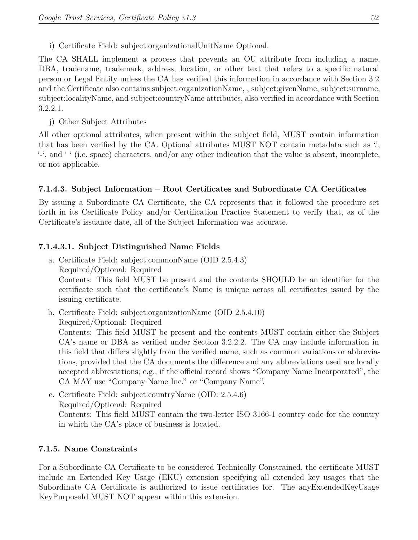i) Certificate Field: subject:organizationalUnitName Optional.

The CA SHALL implement a process that prevents an OU attribute from including a name, DBA, tradename, trademark, address, location, or other text that refers to a specific natural person or Legal Entity unless the CA has verified this information in accordance with Section 3.2 and the Certificate also contains subject:organizationName, , subject:givenName, subject:surname, subject:localityName, and subject:countryName attributes, also verified in accordance with Section 3.2.2.1.

j) Other Subject Attributes

All other optional attributes, when present within the subject field, MUST contain information that has been verified by the CA. Optional attributes MUST NOT contain metadata such as  $\dddot{\cdot}$ , '‐', and ' ' (i.e. space) characters, and/or any other indication that the value is absent, incomplete, or not applicable.

## **7.1.4.3. Subject Information – Root Certificates and Subordinate CA Certificates**

By issuing a Subordinate CA Certificate, the CA represents that it followed the procedure set forth in its Certificate Policy and/or Certification Practice Statement to verify that, as of the Certificate's issuance date, all of the Subject Information was accurate.

#### **7.1.4.3.1. Subject Distinguished Name Fields**

- a. Certificate Field: subject:commonName (OID 2.5.4.3) Required/Optional: Required Contents: This field MUST be present and the contents SHOULD be an identifier for the certificate such that the certificate's Name is unique across all certificates issued by the issuing certificate.
- b. Certificate Field: subject:organizationName (OID 2.5.4.10) Required/Optional: Required

Contents: This field MUST be present and the contents MUST contain either the Subject CA's name or DBA as verified under Section 3.2.2.2. The CA may include information in this field that differs slightly from the verified name, such as common variations or abbreviations, provided that the CA documents the difference and any abbreviations used are locally accepted abbreviations; e.g., if the official record shows "Company Name Incorporated", the CA MAY use "Company Name Inc." or "Company Name".

c. Certificate Field: subject:countryName (OID: 2.5.4.6) Required/Optional: Required Contents: This field MUST contain the two‐letter ISO 3166‐1 country code for the country in which the CA's place of business is located.

#### **7.1.5. Name Constraints**

For a Subordinate CA Certificate to be considered Technically Constrained, the certificate MUST include an Extended Key Usage (EKU) extension specifying all extended key usages that the Subordinate CA Certificate is authorized to issue certificates for. The anyExtendedKeyUsage KeyPurposeId MUST NOT appear within this extension.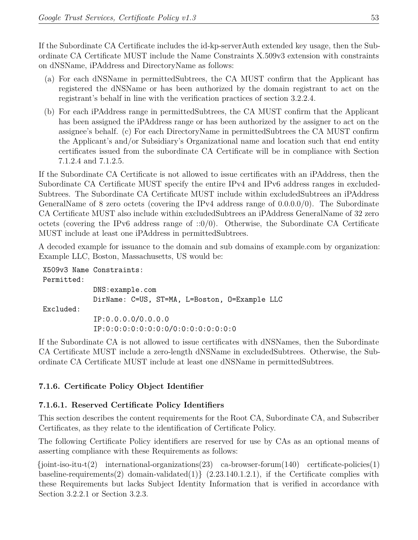If the Subordinate CA Certificate includes the id‐kp‐serverAuth extended key usage, then the Subordinate CA Certificate MUST include the Name Constraints X.509v3 extension with constraints on dNSName, iPAddress and DirectoryName as follows:

- (a) For each dNSName in permittedSubtrees, the CA MUST confirm that the Applicant has registered the dNSName or has been authorized by the domain registrant to act on the registrant's behalf in line with the verification practices of section 3.2.2.4.
- (b) For each iPAddress range in permittedSubtrees, the CA MUST confirm that the Applicant has been assigned the iPAddress range or has been authorized by the assigner to act on the assignee's behalf. (c) For each DirectoryName in permittedSubtrees the CA MUST confirm the Applicant's and/or Subsidiary's Organizational name and location such that end entity certificates issued from the subordinate CA Certificate will be in compliance with Section 7.1.2.4 and 7.1.2.5.

If the Subordinate CA Certificate is not allowed to issue certificates with an iPAddress, then the Subordinate CA Certificate MUST specify the entire IPv4 and IPv6 address ranges in excluded-Subtrees. The Subordinate CA Certificate MUST include within excludedSubtrees an iPAddress GeneralName of 8 zero octets (covering the IPv4 address range of 0.0.0.0/0). The Subordinate CA Certificate MUST also include within excludedSubtrees an iPAddress GeneralName of 32 zero octets (covering the IPv6 address range of  $::0/0$ ). Otherwise, the Subordinate CA Certificate MUST include at least one iPAddress in permittedSubtrees.

A decoded example for issuance to the domain and sub domains of example.com by organization: Example LLC, Boston, Massachusetts, US would be:

```
X509v3 Name Constraints:
Permitted:
            DNS:example.com
            DirName: C=US, ST=MA, L=Boston, O=Example LLC
Excluded:
            IP:0.0.0.0/0.0.0.0
            IP:0:0:0:0:0:0:0:0/0:0:0:0:0:0:0:0
```
If the Subordinate CA is not allowed to issue certificates with dNSNames, then the Subordinate CA Certificate MUST include a zero‐length dNSName in excludedSubtrees. Otherwise, the Subordinate CA Certificate MUST include at least one dNSName in permittedSubtrees.

## **7.1.6. Certificate Policy Object Identifier**

## **7.1.6.1. Reserved Certificate Policy Identifiers**

This section describes the content requirements for the Root CA, Subordinate CA, and Subscriber Certificates, as they relate to the identification of Certificate Policy.

The following Certificate Policy identifiers are reserved for use by CAs as an optional means of asserting compliance with these Requirements as follows:

 ${joint-iso-itu-t(2)}$  international-organizations(23) ca-browser-forum(140) certificate-policies(1) baseline-requirements(2) domain-validated(1) { $(2.23.140.1.2.1)$ , if the Certificate complies with these Requirements but lacks Subject Identity Information that is verified in accordance with Section 3.2.2.1 or Section 3.2.3.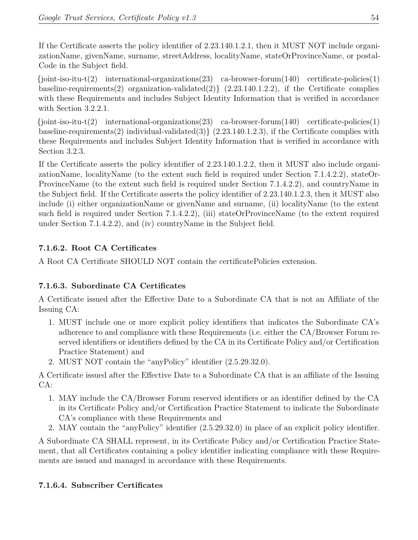If the Certificate asserts the policy identifier of 2.23.140.1.2.1, then it MUST NOT include organizationName, givenName, surname, streetAddress, localityName, stateOrProvinceName, or postal-Code in the Subject field.

 $\{\text{joint-iso-tu-t}(2) \quad \text{internal-organizations}(23) \quad \text{ca-browser-form}(140) \quad \text{certificance-policies}(1)$ baseline-requirements(2) organization-validated(2) { $(2.23.140.1.2.2)$ , if the Certificate complies with these Requirements and includes Subject Identity Information that is verified in accordance with Section 3.2.2.1.

 ${joint-iso-tu-t(2)}$  international-organizations(23) ca-browser-forum(140) certificate-policies(1) baseline-requirements(2) individual-validated(3)  $(2.23.140.1.2.3)$ , if the Certificate complies with these Requirements and includes Subject Identity Information that is verified in accordance with Section 3.2.3.

If the Certificate asserts the policy identifier of 2.23.140.1.2.2, then it MUST also include organizationName, localityName (to the extent such field is required under Section 7.1.4.2.2), stateOr-ProvinceName (to the extent such field is required under Section 7.1.4.2.2), and countryName in the Subject field. If the Certificate asserts the policy identifier of 2.23.140.1.2.3, then it MUST also include (i) either organizationName or givenName and surname, (ii) localityName (to the extent such field is required under Section 7.1.4.2.2), (iii) stateOrProvinceName (to the extent required under Section 7.1.4.2.2), and (iv) countryName in the Subject field.

## **7.1.6.2. Root CA Certificates**

A Root CA Certificate SHOULD NOT contain the certificatePolicies extension.

## **7.1.6.3. Subordinate CA Certificates**

A Certificate issued after the Effective Date to a Subordinate CA that is not an Affiliate of the Issuing CA:

- 1. MUST include one or more explicit policy identifiers that indicates the Subordinate CA's adherence to and compliance with these Requirements (i.e. either the CA/Browser Forum reserved identifiers or identifiers defined by the CA in its Certificate Policy and/or Certification Practice Statement) and
- 2. MUST NOT contain the "anyPolicy" identifier (2.5.29.32.0).

A Certificate issued after the Effective Date to a Subordinate CA that is an affiliate of the Issuing CA:

- 1. MAY include the CA/Browser Forum reserved identifiers or an identifier defined by the CA in its Certificate Policy and/or Certification Practice Statement to indicate the Subordinate CA's compliance with these Requirements and
- 2. MAY contain the "anyPolicy" identifier (2.5.29.32.0) in place of an explicit policy identifier.

A Subordinate CA SHALL represent, in its Certificate Policy and/or Certification Practice Statement, that all Certificates containing a policy identifier indicating compliance with these Requirements are issued and managed in accordance with these Requirements.

## **7.1.6.4. Subscriber Certificates**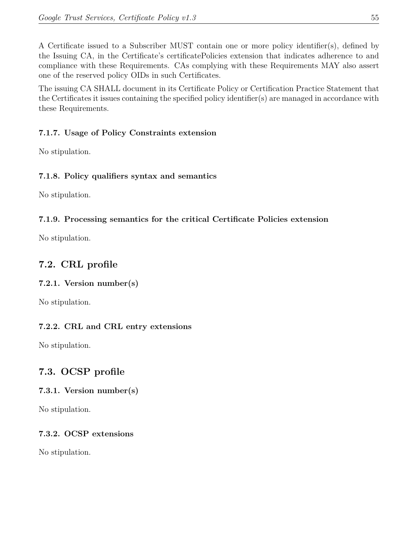A Certificate issued to a Subscriber MUST contain one or more policy identifier(s), defined by the Issuing CA, in the Certificate's certificatePolicies extension that indicates adherence to and compliance with these Requirements. CAs complying with these Requirements MAY also assert one of the reserved policy OIDs in such Certificates.

The issuing CA SHALL document in its Certificate Policy or Certification Practice Statement that the Certificates it issues containing the specified policy identifier(s) are managed in accordance with these Requirements.

## **7.1.7. Usage of Policy Constraints extension**

No stipulation.

## **7.1.8. Policy qualifiers syntax and semantics**

No stipulation.

## **7.1.9. Processing semantics for the critical Certificate Policies extension**

No stipulation.

# **7.2. CRL profile**

## **7.2.1. Version number(s)**

No stipulation.

## **7.2.2. CRL and CRL entry extensions**

No stipulation.

# **7.3. OCSP profile**

## **7.3.1. Version number(s)**

No stipulation.

## **7.3.2. OCSP extensions**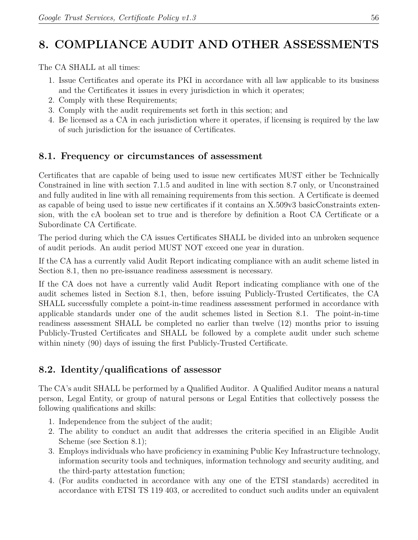# **8. COMPLIANCE AUDIT AND OTHER ASSESSMENTS**

The CA SHALL at all times:

- 1. Issue Certificates and operate its PKI in accordance with all law applicable to its business and the Certificates it issues in every jurisdiction in which it operates;
- 2. Comply with these Requirements;
- 3. Comply with the audit requirements set forth in this section; and
- 4. Be licensed as a CA in each jurisdiction where it operates, if licensing is required by the law of such jurisdiction for the issuance of Certificates.

# **8.1. Frequency or circumstances of assessment**

Certificates that are capable of being used to issue new certificates MUST either be Technically Constrained in line with section 7.1.5 and audited in line with section 8.7 only, or Unconstrained and fully audited in line with all remaining requirements from this section. A Certificate is deemed as capable of being used to issue new certificates if it contains an X.509v3 basicConstraints extension, with the cA boolean set to true and is therefore by definition a Root CA Certificate or a Subordinate CA Certificate.

The period during which the CA issues Certificates SHALL be divided into an unbroken sequence of audit periods. An audit period MUST NOT exceed one year in duration.

If the CA has a currently valid Audit Report indicating compliance with an audit scheme listed in Section 8.1, then no pre-issuance readiness assessment is necessary.

If the CA does not have a currently valid Audit Report indicating compliance with one of the audit schemes listed in Section 8.1, then, before issuing Publicly-Trusted Certificates, the CA SHALL successfully complete a point-in-time readiness assessment performed in accordance with applicable standards under one of the audit schemes listed in Section 8.1. The point-in-time readiness assessment SHALL be completed no earlier than twelve (12) months prior to issuing Publicly-Trusted Certificates and SHALL be followed by a complete audit under such scheme within ninety (90) days of issuing the first Publicly-Trusted Certificate.

# **8.2. Identity/qualifications of assessor**

The CA's audit SHALL be performed by a Qualified Auditor. A Qualified Auditor means a natural person, Legal Entity, or group of natural persons or Legal Entities that collectively possess the following qualifications and skills:

- 1. Independence from the subject of the audit;
- 2. The ability to conduct an audit that addresses the criteria specified in an Eligible Audit Scheme (see Section 8.1);
- 3. Employs individuals who have proficiency in examining Public Key Infrastructure technology, information security tools and techniques, information technology and security auditing, and the third-party attestation function;
- 4. (For audits conducted in accordance with any one of the ETSI standards) accredited in accordance with ETSI TS 119 403, or accredited to conduct such audits under an equivalent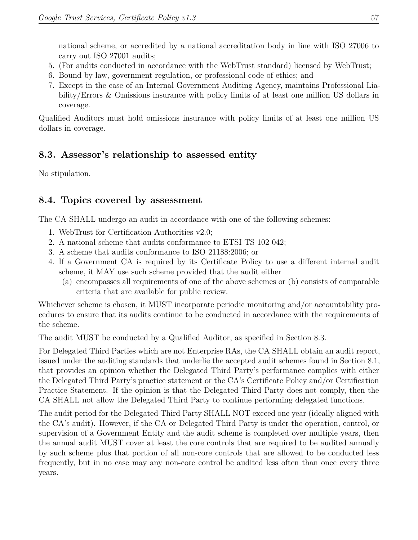national scheme, or accredited by a national accreditation body in line with ISO 27006 to carry out ISO 27001 audits;

- 5. (For audits conducted in accordance with the WebTrust standard) licensed by WebTrust;
- 6. Bound by law, government regulation, or professional code of ethics; and
- 7. Except in the case of an Internal Government Auditing Agency, maintains Professional Liability/Errors & Omissions insurance with policy limits of at least one million US dollars in coverage.

Qualified Auditors must hold omissions insurance with policy limits of at least one million US dollars in coverage.

# **8.3. Assessor's relationship to assessed entity**

No stipulation.

# **8.4. Topics covered by assessment**

The CA SHALL undergo an audit in accordance with one of the following schemes:

- 1. WebTrust for Certification Authorities v2.0;
- 2. A national scheme that audits conformance to ETSI TS 102 042;
- 3. A scheme that audits conformance to ISO 21188:2006; or
- 4. If a Government CA is required by its Certificate Policy to use a different internal audit scheme, it MAY use such scheme provided that the audit either
	- (a) encompasses all requirements of one of the above schemes or (b) consists of comparable criteria that are available for public review.

Whichever scheme is chosen, it MUST incorporate periodic monitoring and/or accountability procedures to ensure that its audits continue to be conducted in accordance with the requirements of the scheme.

The audit MUST be conducted by a Qualified Auditor, as specified in Section 8.3.

For Delegated Third Parties which are not Enterprise RAs, the CA SHALL obtain an audit report, issued under the auditing standards that underlie the accepted audit schemes found in Section 8.1, that provides an opinion whether the Delegated Third Party's performance complies with either the Delegated Third Party's practice statement or the CA's Certificate Policy and/or Certification Practice Statement. If the opinion is that the Delegated Third Party does not comply, then the CA SHALL not allow the Delegated Third Party to continue performing delegated functions.

The audit period for the Delegated Third Party SHALL NOT exceed one year (ideally aligned with the CA's audit). However, if the CA or Delegated Third Party is under the operation, control, or supervision of a Government Entity and the audit scheme is completed over multiple years, then the annual audit MUST cover at least the core controls that are required to be audited annually by such scheme plus that portion of all non-core controls that are allowed to be conducted less frequently, but in no case may any non-core control be audited less often than once every three years.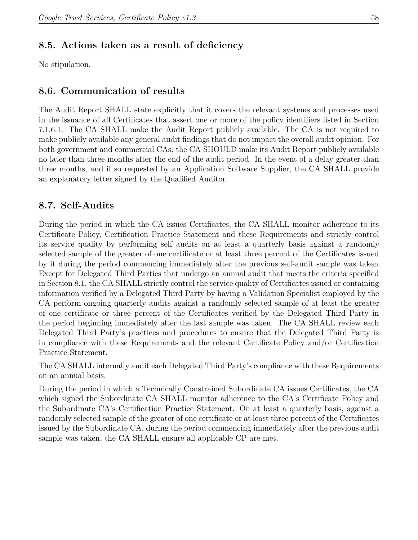## **8.5. Actions taken as a result of deficiency**

No stipulation.

## **8.6. Communication of results**

The Audit Report SHALL state explicitly that it covers the relevant systems and processes used in the issuance of all Certificates that assert one or more of the policy identifiers listed in Section 7.1.6.1. The CA SHALL make the Audit Report publicly available. The CA is not required to make publicly available any general audit findings that do not impact the overall audit opinion. For both government and commercial CAs, the CA SHOULD make its Audit Report publicly available no later than three months after the end of the audit period. In the event of a delay greater than three months, and if so requested by an Application Software Supplier, the CA SHALL provide an explanatory letter signed by the Qualified Auditor.

## **8.7. Self-Audits**

During the period in which the CA issues Certificates, the CA SHALL monitor adherence to its Certificate Policy, Certification Practice Statement and these Requirements and strictly control its service quality by performing self audits on at least a quarterly basis against a randomly selected sample of the greater of one certificate or at least three percent of the Certificates issued by it during the period commencing immediately after the previous self-audit sample was taken. Except for Delegated Third Parties that undergo an annual audit that meets the criteria specified in Section 8.1, the CA SHALL strictly control the service quality of Certificates issued or containing information verified by a Delegated Third Party by having a Validation Specialist employed by the CA perform ongoing quarterly audits against a randomly selected sample of at least the greater of one certificate or three percent of the Certificates verified by the Delegated Third Party in the period beginning immediately after the last sample was taken. The CA SHALL review each Delegated Third Party's practices and procedures to ensure that the Delegated Third Party is in compliance with these Requirements and the relevant Certificate Policy and/or Certification Practice Statement.

The CA SHALL internally audit each Delegated Third Party's compliance with these Requirements on an annual basis.

During the period in which a Technically Constrained Subordinate CA issues Certificates, the CA which signed the Subordinate CA SHALL monitor adherence to the CA's Certificate Policy and the Subordinate CA's Certification Practice Statement. On at least a quarterly basis, against a randomly selected sample of the greater of one certificate or at least three percent of the Certificates issued by the Subordinate CA, during the period commencing immediately after the previous audit sample was taken, the CA SHALL ensure all applicable CP are met.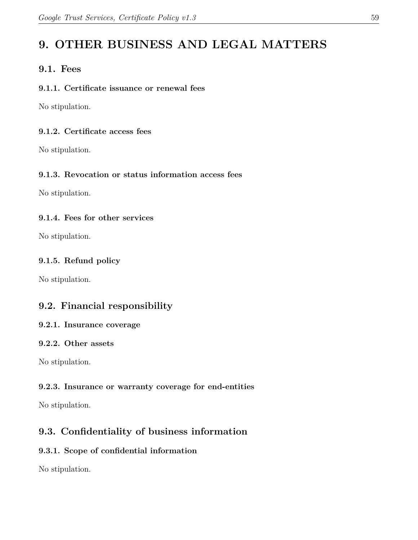# **9. OTHER BUSINESS AND LEGAL MATTERS**

## **9.1. Fees**

#### **9.1.1. Certificate issuance or renewal fees**

No stipulation.

#### **9.1.2. Certificate access fees**

No stipulation.

## **9.1.3. Revocation or status information access fees**

No stipulation.

#### **9.1.4. Fees for other services**

No stipulation.

#### **9.1.5. Refund policy**

No stipulation.

# **9.2. Financial responsibility**

#### **9.2.1. Insurance coverage**

#### **9.2.2. Other assets**

No stipulation.

## **9.2.3. Insurance or warranty coverage for end-entities**

No stipulation.

# **9.3. Confidentiality of business information**

## **9.3.1. Scope of confidential information**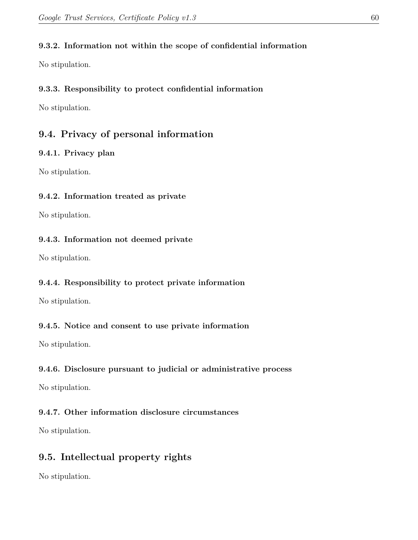#### **9.3.2. Information not within the scope of confidential information**

No stipulation.

#### **9.3.3. Responsibility to protect confidential information**

No stipulation.

## **9.4. Privacy of personal information**

#### **9.4.1. Privacy plan**

No stipulation.

#### **9.4.2. Information treated as private**

No stipulation.

#### **9.4.3. Information not deemed private**

No stipulation.

#### **9.4.4. Responsibility to protect private information**

No stipulation.

#### **9.4.5. Notice and consent to use private information**

No stipulation.

#### **9.4.6. Disclosure pursuant to judicial or administrative process**

No stipulation.

#### **9.4.7. Other information disclosure circumstances**

No stipulation.

# **9.5. Intellectual property rights**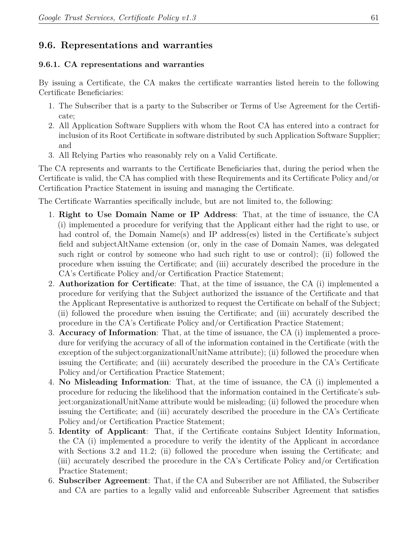## **9.6. Representations and warranties**

#### **9.6.1. CA representations and warranties**

By issuing a Certificate, the CA makes the certificate warranties listed herein to the following Certificate Beneficiaries:

- 1. The Subscriber that is a party to the Subscriber or Terms of Use Agreement for the Certificate;
- 2. All Application Software Suppliers with whom the Root CA has entered into a contract for inclusion of its Root Certificate in software distributed by such Application Software Supplier; and
- 3. All Relying Parties who reasonably rely on a Valid Certificate.

The CA represents and warrants to the Certificate Beneficiaries that, during the period when the Certificate is valid, the CA has complied with these Requirements and its Certificate Policy and/or Certification Practice Statement in issuing and managing the Certificate.

The Certificate Warranties specifically include, but are not limited to, the following:

- 1. **Right to Use Domain Name or IP Address**: That, at the time of issuance, the CA (i) implemented a procedure for verifying that the Applicant either had the right to use, or had control of, the Domain Name(s) and IP address(es) listed in the Certificate's subject field and subjectAltName extension (or, only in the case of Domain Names, was delegated such right or control by someone who had such right to use or control); (ii) followed the procedure when issuing the Certificate; and (iii) accurately described the procedure in the CA's Certificate Policy and/or Certification Practice Statement;
- 2. **Authorization for Certificate**: That, at the time of issuance, the CA (i) implemented a procedure for verifying that the Subject authorized the issuance of the Certificate and that the Applicant Representative is authorized to request the Certificate on behalf of the Subject; (ii) followed the procedure when issuing the Certificate; and (iii) accurately described the procedure in the CA's Certificate Policy and/or Certification Practice Statement;
- 3. **Accuracy of Information**: That, at the time of issuance, the CA (i) implemented a procedure for verifying the accuracy of all of the information contained in the Certificate (with the exception of the subject:organizationalUnitName attribute); (ii) followed the procedure when issuing the Certificate; and (iii) accurately described the procedure in the CA's Certificate Policy and/or Certification Practice Statement;
- 4. **No Misleading Information**: That, at the time of issuance, the CA (i) implemented a procedure for reducing the likelihood that the information contained in the Certificate's subject:organizationalUnitName attribute would be misleading; (ii) followed the procedure when issuing the Certificate; and (iii) accurately described the procedure in the CA's Certificate Policy and/or Certification Practice Statement;
- 5. **Identity of Applicant**: That, if the Certificate contains Subject Identity Information, the CA (i) implemented a procedure to verify the identity of the Applicant in accordance with Sections 3.2 and 11.2; (ii) followed the procedure when issuing the Certificate; and (iii) accurately described the procedure in the CA's Certificate Policy and/or Certification Practice Statement;
- 6. **Subscriber Agreement**: That, if the CA and Subscriber are not Affiliated, the Subscriber and CA are parties to a legally valid and enforceable Subscriber Agreement that satisfies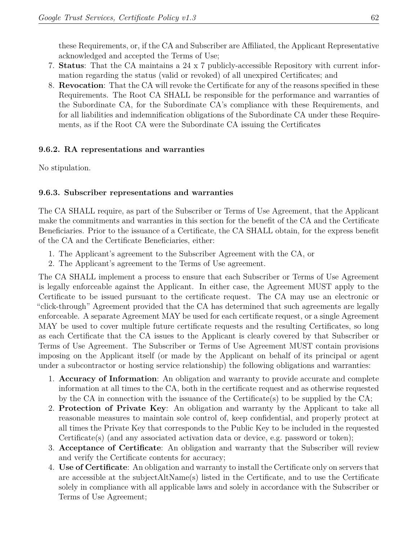these Requirements, or, if the CA and Subscriber are Affiliated, the Applicant Representative acknowledged and accepted the Terms of Use;

- 7. **Status**: That the CA maintains a 24 x 7 publicly-accessible Repository with current information regarding the status (valid or revoked) of all unexpired Certificates; and
- 8. **Revocation**: That the CA will revoke the Certificate for any of the reasons specified in these Requirements. The Root CA SHALL be responsible for the performance and warranties of the Subordinate CA, for the Subordinate CA's compliance with these Requirements, and for all liabilities and indemnification obligations of the Subordinate CA under these Requirements, as if the Root CA were the Subordinate CA issuing the Certificates

#### **9.6.2. RA representations and warranties**

No stipulation.

#### **9.6.3. Subscriber representations and warranties**

The CA SHALL require, as part of the Subscriber or Terms of Use Agreement, that the Applicant make the commitments and warranties in this section for the benefit of the CA and the Certificate Beneficiaries. Prior to the issuance of a Certificate, the CA SHALL obtain, for the express benefit of the CA and the Certificate Beneficiaries, either:

- 1. The Applicant's agreement to the Subscriber Agreement with the CA, or
- 2. The Applicant's agreement to the Terms of Use agreement.

The CA SHALL implement a process to ensure that each Subscriber or Terms of Use Agreement is legally enforceable against the Applicant. In either case, the Agreement MUST apply to the Certificate to be issued pursuant to the certificate request. The CA may use an electronic or "click-through" Agreement provided that the CA has determined that such agreements are legally enforceable. A separate Agreement MAY be used for each certificate request, or a single Agreement MAY be used to cover multiple future certificate requests and the resulting Certificates, so long as each Certificate that the CA issues to the Applicant is clearly covered by that Subscriber or Terms of Use Agreement. The Subscriber or Terms of Use Agreement MUST contain provisions imposing on the Applicant itself (or made by the Applicant on behalf of its principal or agent under a subcontractor or hosting service relationship) the following obligations and warranties:

- 1. **Accuracy of Information**: An obligation and warranty to provide accurate and complete information at all times to the CA, both in the certificate request and as otherwise requested by the CA in connection with the issuance of the Certificate(s) to be supplied by the CA;
- 2. **Protection of Private Key**: An obligation and warranty by the Applicant to take all reasonable measures to maintain sole control of, keep confidential, and properly protect at all times the Private Key that corresponds to the Public Key to be included in the requested Certificate(s) (and any associated activation data or device, e.g. password or token);
- 3. **Acceptance of Certificate**: An obligation and warranty that the Subscriber will review and verify the Certificate contents for accuracy;
- 4. **Use of Certificate**: An obligation and warranty to install the Certificate only on servers that are accessible at the subjectAltName(s) listed in the Certificate, and to use the Certificate solely in compliance with all applicable laws and solely in accordance with the Subscriber or Terms of Use Agreement;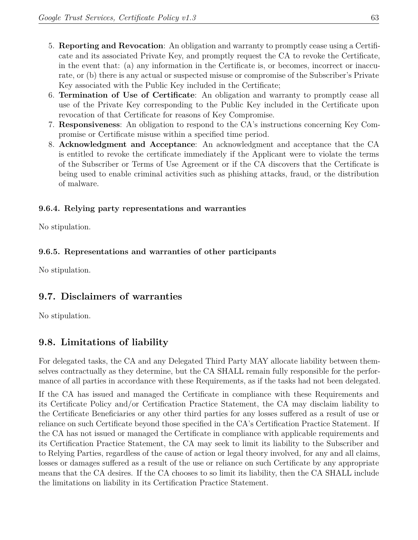- 5. **Reporting and Revocation**: An obligation and warranty to promptly cease using a Certificate and its associated Private Key, and promptly request the CA to revoke the Certificate, in the event that: (a) any information in the Certificate is, or becomes, incorrect or inaccurate, or (b) there is any actual or suspected misuse or compromise of the Subscriber's Private Key associated with the Public Key included in the Certificate;
- 6. **Termination of Use of Certificate**: An obligation and warranty to promptly cease all use of the Private Key corresponding to the Public Key included in the Certificate upon revocation of that Certificate for reasons of Key Compromise.
- 7. **Responsiveness**: An obligation to respond to the CA's instructions concerning Key Compromise or Certificate misuse within a specified time period.
- 8. **Acknowledgment and Acceptance**: An acknowledgment and acceptance that the CA is entitled to revoke the certificate immediately if the Applicant were to violate the terms of the Subscriber or Terms of Use Agreement or if the CA discovers that the Certificate is being used to enable criminal activities such as phishing attacks, fraud, or the distribution of malware.

## **9.6.4. Relying party representations and warranties**

No stipulation.

#### **9.6.5. Representations and warranties of other participants**

No stipulation.

## **9.7. Disclaimers of warranties**

No stipulation.

# **9.8. Limitations of liability**

For delegated tasks, the CA and any Delegated Third Party MAY allocate liability between themselves contractually as they determine, but the CA SHALL remain fully responsible for the performance of all parties in accordance with these Requirements, as if the tasks had not been delegated.

If the CA has issued and managed the Certificate in compliance with these Requirements and its Certificate Policy and/or Certification Practice Statement, the CA may disclaim liability to the Certificate Beneficiaries or any other third parties for any losses suffered as a result of use or reliance on such Certificate beyond those specified in the CA's Certification Practice Statement. If the CA has not issued or managed the Certificate in compliance with applicable requirements and its Certification Practice Statement, the CA may seek to limit its liability to the Subscriber and to Relying Parties, regardless of the cause of action or legal theory involved, for any and all claims, losses or damages suffered as a result of the use or reliance on such Certificate by any appropriate means that the CA desires. If the CA chooses to so limit its liability, then the CA SHALL include the limitations on liability in its Certification Practice Statement.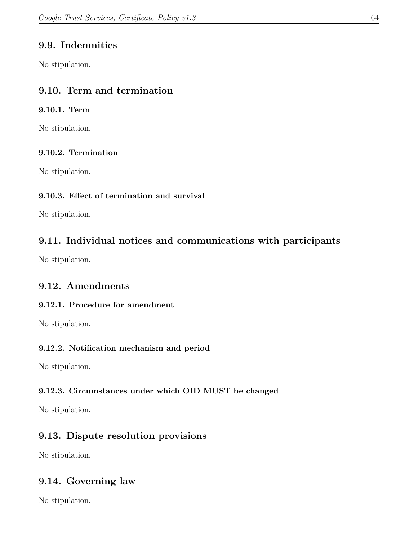# **9.9. Indemnities**

No stipulation.

# **9.10. Term and termination**

#### **9.10.1. Term**

No stipulation.

## **9.10.2. Termination**

No stipulation.

## **9.10.3. Effect of termination and survival**

No stipulation.

# **9.11. Individual notices and communications with participants**

No stipulation.

# **9.12. Amendments**

## **9.12.1. Procedure for amendment**

No stipulation.

## **9.12.2. Notification mechanism and period**

No stipulation.

## **9.12.3. Circumstances under which OID MUST be changed**

No stipulation.

# **9.13. Dispute resolution provisions**

No stipulation.

# **9.14. Governing law**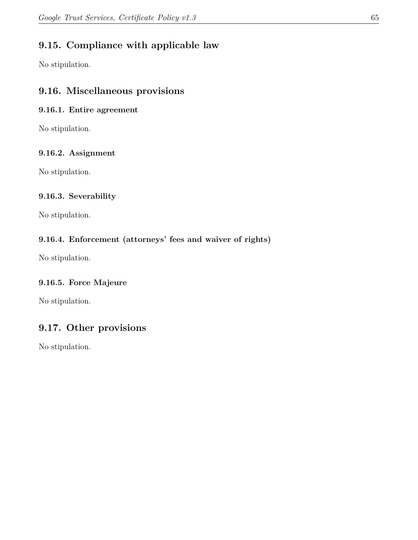# **9.15. Compliance with applicable law**

No stipulation.

## **9.16. Miscellaneous provisions**

#### **9.16.1. Entire agreement**

No stipulation.

## **9.16.2. Assignment**

No stipulation.

#### **9.16.3. Severability**

No stipulation.

## **9.16.4. Enforcement (attorneys' fees and waiver of rights)**

No stipulation.

## **9.16.5. Force Majeure**

No stipulation.

# **9.17. Other provisions**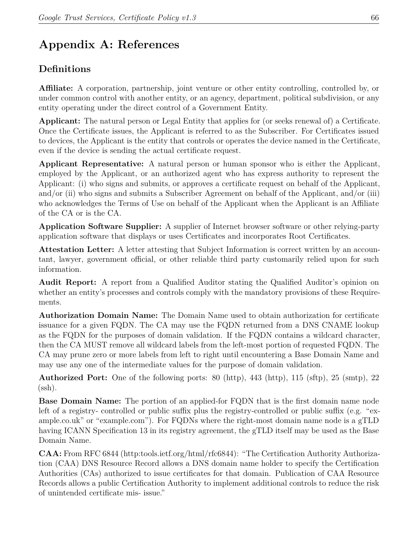# **Appendix A: References**

# **Definitions**

**Affiliate:** A corporation, partnership, joint venture or other entity controlling, controlled by, or under common control with another entity, or an agency, department, political subdivision, or any entity operating under the direct control of a Government Entity.

**Applicant:** The natural person or Legal Entity that applies for (or seeks renewal of) a Certificate. Once the Certificate issues, the Applicant is referred to as the Subscriber. For Certificates issued to devices, the Applicant is the entity that controls or operates the device named in the Certificate, even if the device is sending the actual certificate request.

**Applicant Representative:** A natural person or human sponsor who is either the Applicant, employed by the Applicant, or an authorized agent who has express authority to represent the Applicant: (i) who signs and submits, or approves a certificate request on behalf of the Applicant, and/or (ii) who signs and submits a Subscriber Agreement on behalf of the Applicant, and/or (iii) who acknowledges the Terms of Use on behalf of the Applicant when the Applicant is an Affiliate of the CA or is the CA.

**Application Software Supplier:** A supplier of Internet browser software or other relying‐party application software that displays or uses Certificates and incorporates Root Certificates.

**Attestation Letter:** A letter attesting that Subject Information is correct written by an accountant, lawyer, government official, or other reliable third party customarily relied upon for such information.

**Audit Report:** A report from a Qualified Auditor stating the Qualified Auditor's opinion on whether an entity's processes and controls comply with the mandatory provisions of these Requirements.

**Authorization Domain Name:** The Domain Name used to obtain authorization for certificate issuance for a given FQDN. The CA may use the FQDN returned from a DNS CNAME lookup as the FQDN for the purposes of domain validation. If the FQDN contains a wildcard character, then the CA MUST remove all wildcard labels from the left-most portion of requested FQDN. The CA may prune zero or more labels from left to right until encountering a Base Domain Name and may use any one of the intermediate values for the purpose of domain validation.

**Authorized Port:** One of the following ports: 80 (http), 443 (http), 115 (sftp), 25 (smtp), 22  $(ssh).$ 

**Base Domain Name:** The portion of an applied-for FQDN that is the first domain name node left of a registry‐ controlled or public suffix plus the registry‐controlled or public suffix (e.g. "example.co.uk" or "example.com"). For FQDNs where the right-most domain name node is a gTLD having ICANN Specification 13 in its registry agreement, the gTLD itself may be used as the Base Domain Name.

**CAA:** From RFC 6844 (http:tools.ietf.org/html/rfc6844): "The Certification Authority Authorization (CAA) DNS Resource Record allows a DNS domain name holder to specify the Certification Authorities (CAs) authorized to issue certificates for that domain. Publication of CAA Resource Records allows a public Certification Authority to implement additional controls to reduce the risk of unintended certificate mis‐ issue."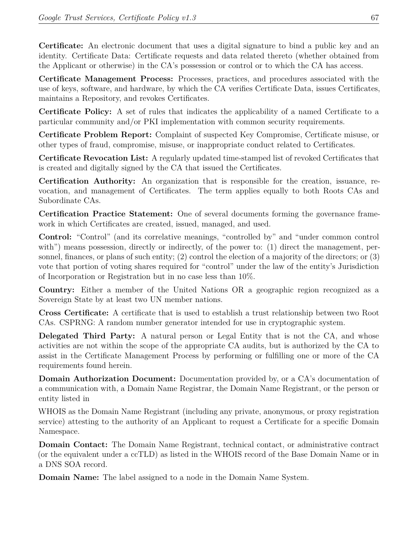**Certificate:** An electronic document that uses a digital signature to bind a public key and an identity. Certificate Data: Certificate requests and data related thereto (whether obtained from the Applicant or otherwise) in the CA's possession or control or to which the CA has access.

**Certificate Management Process:** Processes, practices, and procedures associated with the use of keys, software, and hardware, by which the CA verifies Certificate Data, issues Certificates, maintains a Repository, and revokes Certificates.

**Certificate Policy:** A set of rules that indicates the applicability of a named Certificate to a particular community and/or PKI implementation with common security requirements.

**Certificate Problem Report:** Complaint of suspected Key Compromise, Certificate misuse, or other types of fraud, compromise, misuse, or inappropriate conduct related to Certificates.

**Certificate Revocation List:** A regularly updated time‐stamped list of revoked Certificates that is created and digitally signed by the CA that issued the Certificates.

**Certification Authority:** An organization that is responsible for the creation, issuance, revocation, and management of Certificates. The term applies equally to both Roots CAs and Subordinate CAs.

**Certification Practice Statement:** One of several documents forming the governance framework in which Certificates are created, issued, managed, and used.

**Control:** "Control" (and its correlative meanings, "controlled by" and "under common control with") means possession, directly or indirectly, of the power to: (1) direct the management, personnel, finances, or plans of such entity; (2) control the election of a majority of the directors; or (3) vote that portion of voting shares required for "control" under the law of the entity's Jurisdiction of Incorporation or Registration but in no case less than 10%.

**Country:** Either a member of the United Nations OR a geographic region recognized as a Sovereign State by at least two UN member nations.

**Cross Certificate:** A certificate that is used to establish a trust relationship between two Root CAs. CSPRNG: A random number generator intended for use in cryptographic system.

**Delegated Third Party:** A natural person or Legal Entity that is not the CA, and whose activities are not within the scope of the appropriate CA audits, but is authorized by the CA to assist in the Certificate Management Process by performing or fulfilling one or more of the CA requirements found herein.

**Domain Authorization Document:** Documentation provided by, or a CA's documentation of a communication with, a Domain Name Registrar, the Domain Name Registrant, or the person or entity listed in

WHOIS as the Domain Name Registrant (including any private, anonymous, or proxy registration service) attesting to the authority of an Applicant to request a Certificate for a specific Domain Namespace.

**Domain Contact:** The Domain Name Registrant, technical contact, or administrative contract (or the equivalent under a ccTLD) as listed in the WHOIS record of the Base Domain Name or in a DNS SOA record.

**Domain Name:** The label assigned to a node in the Domain Name System.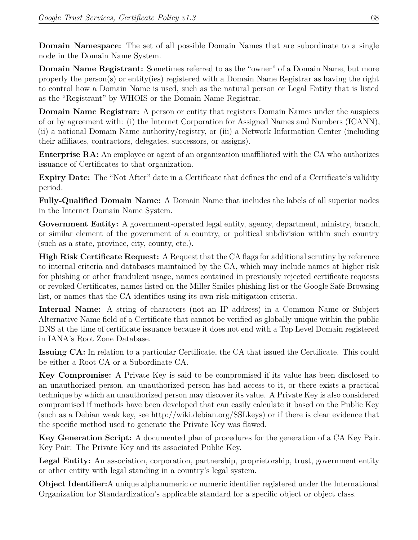**Domain Namespace:** The set of all possible Domain Names that are subordinate to a single node in the Domain Name System.

**Domain Name Registrant:** Sometimes referred to as the "owner" of a Domain Name, but more properly the person(s) or entity(ies) registered with a Domain Name Registrar as having the right to control how a Domain Name is used, such as the natural person or Legal Entity that is listed as the "Registrant" by WHOIS or the Domain Name Registrar.

**Domain Name Registrar:** A person or entity that registers Domain Names under the auspices of or by agreement with: (i) the Internet Corporation for Assigned Names and Numbers (ICANN), (ii) a national Domain Name authority/registry, or (iii) a Network Information Center (including their affiliates, contractors, delegates, successors, or assigns).

**Enterprise RA:** An employee or agent of an organization unaffiliated with the CA who authorizes issuance of Certificates to that organization.

**Expiry Date:** The "Not After" date in a Certificate that defines the end of a Certificate's validity period.

**Fully‐Qualified Domain Name:** A Domain Name that includes the labels of all superior nodes in the Internet Domain Name System.

Government Entity: A government-operated legal entity, agency, department, ministry, branch, or similar element of the government of a country, or political subdivision within such country (such as a state, province, city, county, etc.).

**High Risk Certificate Request:** A Request that the CA flags for additional scrutiny by reference to internal criteria and databases maintained by the CA, which may include names at higher risk for phishing or other fraudulent usage, names contained in previously rejected certificate requests or revoked Certificates, names listed on the Miller Smiles phishing list or the Google Safe Browsing list, or names that the CA identifies using its own risk‐mitigation criteria.

**Internal Name:** A string of characters (not an IP address) in a Common Name or Subject Alternative Name field of a Certificate that cannot be verified as globally unique within the public DNS at the time of certificate issuance because it does not end with a Top Level Domain registered in IANA's Root Zone Database.

**Issuing CA:** In relation to a particular Certificate, the CA that issued the Certificate. This could be either a Root CA or a Subordinate CA.

**Key Compromise:** A Private Key is said to be compromised if its value has been disclosed to an unauthorized person, an unauthorized person has had access to it, or there exists a practical technique by which an unauthorized person may discover its value. A Private Key is also considered compromised if methods have been developed that can easily calculate it based on the Public Key (such as a Debian weak key, see http://wiki.debian.org/SSLkeys) or if there is clear evidence that the specific method used to generate the Private Key was flawed.

**Key Generation Script:** A documented plan of procedures for the generation of a CA Key Pair. Key Pair: The Private Key and its associated Public Key.

Legal Entity: An association, corporation, partnership, proprietorship, trust, government entity or other entity with legal standing in a country's legal system.

**Object Identifier:**A unique alphanumeric or numeric identifier registered under the International Organization for Standardization's applicable standard for a specific object or object class.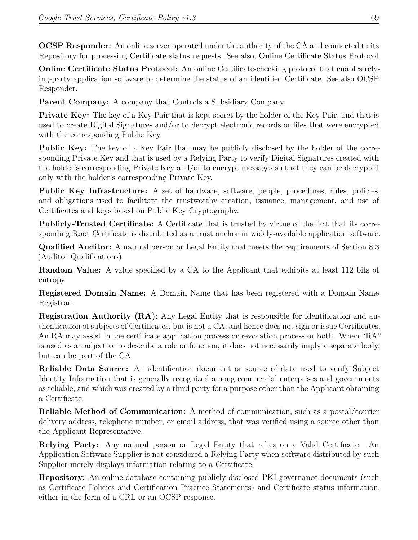**OCSP Responder:** An online server operated under the authority of the CA and connected to its Repository for processing Certificate status requests. See also, Online Certificate Status Protocol.

**Online Certificate Status Protocol:** An online Certificate-checking protocol that enables relying‐party application software to determine the status of an identified Certificate. See also OCSP Responder.

**Parent Company:** A company that Controls a Subsidiary Company.

**Private Key:** The key of a Key Pair that is kept secret by the holder of the Key Pair, and that is used to create Digital Signatures and/or to decrypt electronic records or files that were encrypted with the corresponding Public Key.

**Public Key:** The key of a Key Pair that may be publicly disclosed by the holder of the corresponding Private Key and that is used by a Relying Party to verify Digital Signatures created with the holder's corresponding Private Key and/or to encrypt messages so that they can be decrypted only with the holder's corresponding Private Key.

Public Key Infrastructure: A set of hardware, software, people, procedures, rules, policies, and obligations used to facilitate the trustworthy creation, issuance, management, and use of Certificates and keys based on Public Key Cryptography.

**Publicly‐Trusted Certificate:** A Certificate that is trusted by virtue of the fact that its corresponding Root Certificate is distributed as a trust anchor in widely-available application software.

**Qualified Auditor:** A natural person or Legal Entity that meets the requirements of Section 8.3 (Auditor Qualifications).

**Random Value:** A value specified by a CA to the Applicant that exhibits at least 112 bits of entropy.

**Registered Domain Name:** A Domain Name that has been registered with a Domain Name Registrar.

**Registration Authority (RA):** Any Legal Entity that is responsible for identification and authentication of subjects of Certificates, but is not a CA, and hence does not sign or issue Certificates. An RA may assist in the certificate application process or revocation process or both. When "RA" is used as an adjective to describe a role or function, it does not necessarily imply a separate body, but can be part of the CA.

**Reliable Data Source:** An identification document or source of data used to verify Subject Identity Information that is generally recognized among commercial enterprises and governments as reliable, and which was created by a third party for a purpose other than the Applicant obtaining a Certificate.

**Reliable Method of Communication:** A method of communication, such as a postal/courier delivery address, telephone number, or email address, that was verified using a source other than the Applicant Representative.

**Relying Party:** Any natural person or Legal Entity that relies on a Valid Certificate. An Application Software Supplier is not considered a Relying Party when software distributed by such Supplier merely displays information relating to a Certificate.

**Repository:** An online database containing publicly-disclosed PKI governance documents (such as Certificate Policies and Certification Practice Statements) and Certificate status information, either in the form of a CRL or an OCSP response.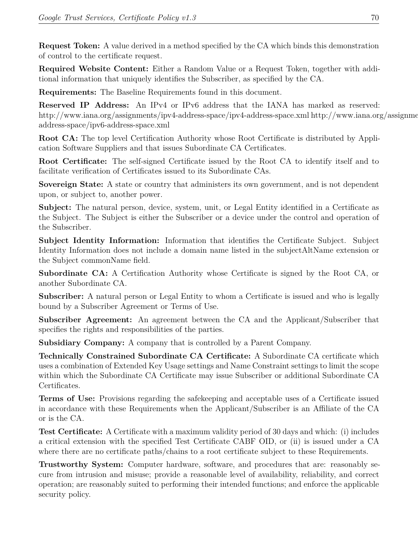**Request Token:** A value derived in a method specified by the CA which binds this demonstration of control to the certificate request.

**Required Website Content:** Either a Random Value or a Request Token, together with additional information that uniquely identifies the Subscriber, as specified by the CA.

**Requirements:** The Baseline Requirements found in this document.

**Reserved IP Address:** An IPv4 or IPv6 address that the IANA has marked as reserved: http://www.iana.org/assignments/ipv4-address-space/ipv4-address-space.xml http://www.iana.org/assignments/ address-space/ipv6-address-space.xml

**Root CA:** The top level Certification Authority whose Root Certificate is distributed by Application Software Suppliers and that issues Subordinate CA Certificates.

**Root Certificate:** The self‐signed Certificate issued by the Root CA to identify itself and to facilitate verification of Certificates issued to its Subordinate CAs.

**Sovereign State:** A state or country that administers its own government, and is not dependent upon, or subject to, another power.

**Subject:** The natural person, device, system, unit, or Legal Entity identified in a Certificate as the Subject. The Subject is either the Subscriber or a device under the control and operation of the Subscriber.

**Subject Identity Information:** Information that identifies the Certificate Subject. Subject Identity Information does not include a domain name listed in the subjectAltName extension or the Subject commonName field.

**Subordinate CA:** A Certification Authority whose Certificate is signed by the Root CA, or another Subordinate CA.

**Subscriber:** A natural person or Legal Entity to whom a Certificate is issued and who is legally bound by a Subscriber Agreement or Terms of Use.

**Subscriber Agreement:** An agreement between the CA and the Applicant/Subscriber that specifies the rights and responsibilities of the parties.

**Subsidiary Company:** A company that is controlled by a Parent Company.

**Technically Constrained Subordinate CA Certificate:** A Subordinate CA certificate which uses a combination of Extended Key Usage settings and Name Constraint settings to limit the scope within which the Subordinate CA Certificate may issue Subscriber or additional Subordinate CA Certificates.

**Terms of Use:** Provisions regarding the safekeeping and acceptable uses of a Certificate issued in accordance with these Requirements when the Applicant/Subscriber is an Affiliate of the CA or is the CA.

**Test Certificate:** A Certificate with a maximum validity period of 30 days and which: (i) includes a critical extension with the specified Test Certificate CABF OID, or (ii) is issued under a CA where there are no certificate paths/chains to a root certificate subject to these Requirements.

**Trustworthy System:** Computer hardware, software, and procedures that are: reasonably secure from intrusion and misuse; provide a reasonable level of availability, reliability, and correct operation; are reasonably suited to performing their intended functions; and enforce the applicable security policy.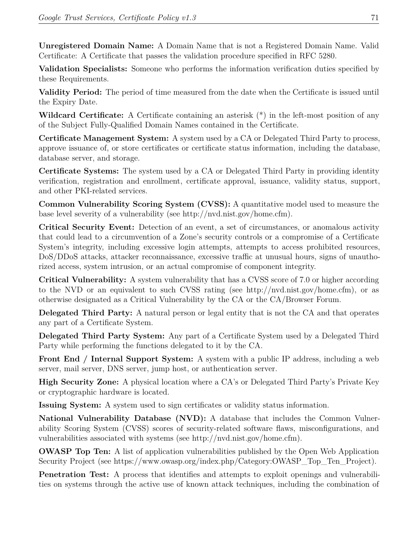**Unregistered Domain Name:** A Domain Name that is not a Registered Domain Name. Valid Certificate: A Certificate that passes the validation procedure specified in RFC 5280.

**Validation Specialists:** Someone who performs the information verification duties specified by these Requirements.

**Validity Period:** The period of time measured from the date when the Certificate is issued until the Expiry Date.

**Wildcard Certificate:** A Certificate containing an asterisk (\*) in the left‐most position of any of the Subject Fully‐Qualified Domain Names contained in the Certificate.

**Certificate Management System:** A system used by a CA or Delegated Third Party to process, approve issuance of, or store certificates or certificate status information, including the database, database server, and storage.

**Certificate Systems:** The system used by a CA or Delegated Third Party in providing identity verification, registration and enrollment, certificate approval, issuance, validity status, support, and other PKI-related services.

**Common Vulnerability Scoring System (CVSS):** A quantitative model used to measure the base level severity of a vulnerability (see http://nvd.nist.gov/home.cfm).

**Critical Security Event:** Detection of an event, a set of circumstances, or anomalous activity that could lead to a circumvention of a Zone's security controls or a compromise of a Certificate System's integrity, including excessive login attempts, attempts to access prohibited resources, DoS/DDoS attacks, attacker reconnaissance, excessive traffic at unusual hours, signs of unauthorized access, system intrusion, or an actual compromise of component integrity.

**Critical Vulnerability:** A system vulnerability that has a CVSS score of 7.0 or higher according to the NVD or an equivalent to such CVSS rating (see http://nvd.nist.gov/home.cfm), or as otherwise designated as a Critical Vulnerability by the CA or the CA/Browser Forum.

**Delegated Third Party:** A natural person or legal entity that is not the CA and that operates any part of a Certificate System.

**Delegated Third Party System:** Any part of a Certificate System used by a Delegated Third Party while performing the functions delegated to it by the CA.

**Front End / Internal Support System:** A system with a public IP address, including a web server, mail server, DNS server, jump host, or authentication server.

**High Security Zone:** A physical location where a CA's or Delegated Third Party's Private Key or cryptographic hardware is located.

**Issuing System:** A system used to sign certificates or validity status information.

**National Vulnerability Database (NVD):** A database that includes the Common Vulnerability Scoring System (CVSS) scores of security-related software flaws, misconfigurations, and vulnerabilities associated with systems (see http://nvd.nist.gov/home.cfm).

**OWASP Top Ten:** A list of application vulnerabilities published by the Open Web Application Security Project (see https://www.owasp.org/index.php/Category:OWASP\_Top\_Ten\_Project).

**Penetration Test:** A process that identifies and attempts to exploit openings and vulnerabilities on systems through the active use of known attack techniques, including the combination of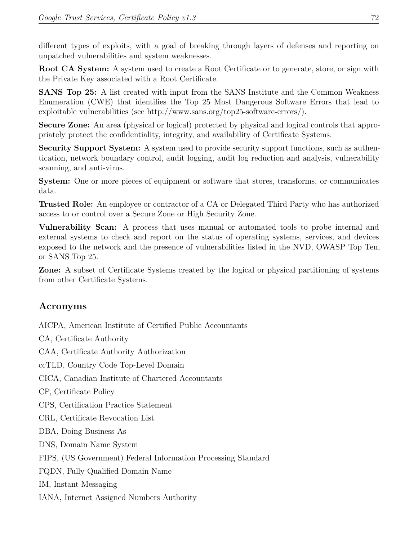different types of exploits, with a goal of breaking through layers of defenses and reporting on unpatched vulnerabilities and system weaknesses.

**Root CA System:** A system used to create a Root Certificate or to generate, store, or sign with the Private Key associated with a Root Certificate.

**SANS Top 25:** A list created with input from the SANS Institute and the Common Weakness Enumeration (CWE) that identifies the Top 25 Most Dangerous Software Errors that lead to exploitable vulnerabilities (see http://www.sans.org/top25-software-errors/).

**Secure Zone:** An area (physical or logical) protected by physical and logical controls that appropriately protect the confidentiality, integrity, and availability of Certificate Systems.

**Security Support System:** A system used to provide security support functions, such as authentication, network boundary control, audit logging, audit log reduction and analysis, vulnerability scanning, and anti-virus.

**System:** One or more pieces of equipment or software that stores, transforms, or communicates data.

**Trusted Role:** An employee or contractor of a CA or Delegated Third Party who has authorized access to or control over a Secure Zone or High Security Zone.

**Vulnerability Scan:** A process that uses manual or automated tools to probe internal and external systems to check and report on the status of operating systems, services, and devices exposed to the network and the presence of vulnerabilities listed in the NVD, OWASP Top Ten, or SANS Top 25.

**Zone:** A subset of Certificate Systems created by the logical or physical partitioning of systems from other Certificate Systems.

## **Acronyms**

AICPA, American Institute of Certified Public Accountants CA, Certificate Authority CAA, Certificate Authority Authorization ccTLD, Country Code Top‐Level Domain CICA, Canadian Institute of Chartered Accountants CP, Certificate Policy CPS, Certification Practice Statement CRL, Certificate Revocation List DBA, Doing Business As DNS, Domain Name System FIPS, (US Government) Federal Information Processing Standard FQDN, Fully Qualified Domain Name IM, Instant Messaging IANA, Internet Assigned Numbers Authority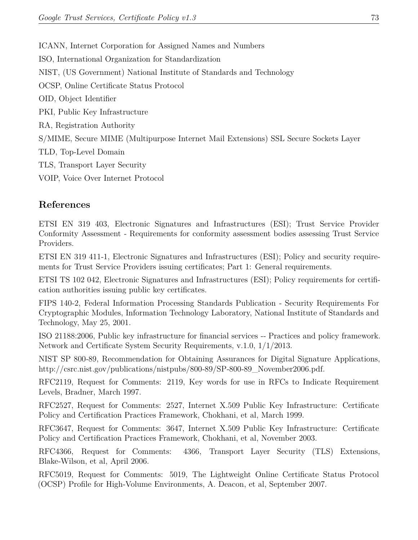ICANN, Internet Corporation for Assigned Names and Numbers ISO, International Organization for Standardization NIST, (US Government) National Institute of Standards and Technology OCSP, Online Certificate Status Protocol OID, Object Identifier PKI, Public Key Infrastructure RA, Registration Authority S/MIME, Secure MIME (Multipurpose Internet Mail Extensions) SSL Secure Sockets Layer TLD, Top‐Level Domain TLS, Transport Layer Security VOIP, Voice Over Internet Protocol

## **References**

ETSI EN 319 403, Electronic Signatures and Infrastructures (ESI); Trust Service Provider Conformity Assessment ‐ Requirements for conformity assessment bodies assessing Trust Service Providers.

ETSI EN 319 411-1, Electronic Signatures and Infrastructures (ESI); Policy and security requirements for Trust Service Providers issuing certificates; Part 1: General requirements.

ETSI TS 102 042, Electronic Signatures and Infrastructures (ESI); Policy requirements for certification authorities issuing public key certificates.

FIPS 140‐2, Federal Information Processing Standards Publication ‐ Security Requirements For Cryptographic Modules, Information Technology Laboratory, National Institute of Standards and Technology, May 25, 2001.

ISO 21188:2006, Public key infrastructure for financial services ‐‐ Practices and policy framework. Network and Certificate System Security Requirements, v.1.0, 1/1/2013.

NIST SP 800‐89, Recommendation for Obtaining Assurances for Digital Signature Applications, http://csrc.nist.gov/publications/nistpubs/800‐89/SP‐800‐89\_November2006.pdf.

RFC2119, Request for Comments: 2119, Key words for use in RFCs to Indicate Requirement Levels, Bradner, March 1997.

RFC2527, Request for Comments: 2527, Internet X.509 Public Key Infrastructure: Certificate Policy and Certification Practices Framework, Chokhani, et al, March 1999.

RFC3647, Request for Comments: 3647, Internet X.509 Public Key Infrastructure: Certificate Policy and Certification Practices Framework, Chokhani, et al, November 2003.

RFC4366, Request for Comments: 4366, Transport Layer Security (TLS) Extensions, Blake‐Wilson, et al, April 2006.

RFC5019, Request for Comments: 5019, The Lightweight Online Certificate Status Protocol (OCSP) Profile for High‐Volume Environments, A. Deacon, et al, September 2007.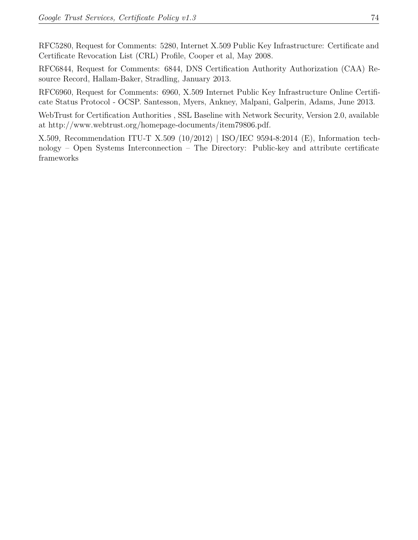RFC5280, Request for Comments: 5280, Internet X.509 Public Key Infrastructure: Certificate and Certificate Revocation List (CRL) Profile, Cooper et al, May 2008.

RFC6844, Request for Comments: 6844, DNS Certification Authority Authorization (CAA) Resource Record, Hallam‐Baker, Stradling, January 2013.

RFC6960, Request for Comments: 6960, X.509 Internet Public Key Infrastructure Online Certificate Status Protocol ‐ OCSP. Santesson, Myers, Ankney, Malpani, Galperin, Adams, June 2013.

WebTrust for Certification Authorities , SSL Baseline with Network Security, Version 2.0, available at http://www.webtrust.org/homepage‐documents/item79806.pdf.

X.509, Recommendation ITU‐T X.509 (10/2012) | ISO/IEC 9594‐8:2014 (E), Information technology – Open Systems Interconnection – The Directory: Public‐key and attribute certificate frameworks